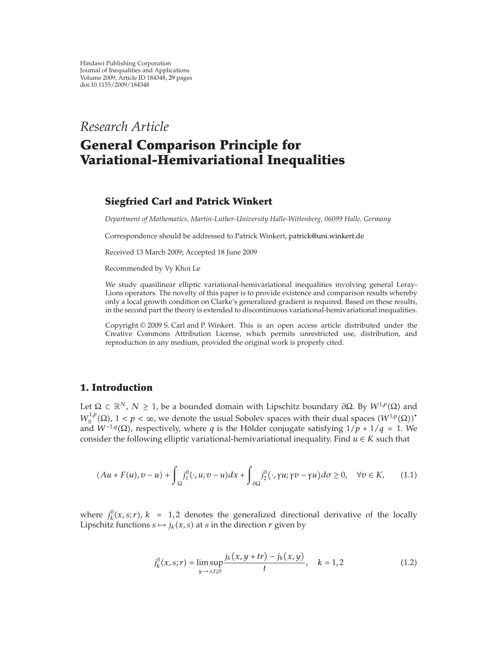*Research Article*

# **General Comparison Principle for Variational-Hemivariational Inequalities**

# **Siegfried Carl and Patrick Winkert**

*Department of Mathematics, Martin-Luther-University Halle-Wittenberg, 06099 Halle, Germany*

Correspondence should be addressed to Patrick Winkert, patrick@uni.winkert.de

Received 13 March 2009; Accepted 18 June 2009

Recommended by Vy Khoi Le

We study quasilinear elliptic variational-hemivariational inequalities involving general Leray-Lions operators. The novelty of this paper is to provide existence and comparison results whereby only a local growth condition on Clarke's generalized gradient is required. Based on these results, in the second part the theory is extended to discontinuous variational-hemivariational inequalities.

Copyright  $\odot$  2009 S. Carl and P. Winkert. This is an open access article distributed under the Creative Commons Attribution License, which permits unrestricted use, distribution, and reproduction in any medium, provided the original work is properly cited.

# **1. Introduction**

Let  $\Omega \subset \mathbb{R}^N$ ,  $N \geq 1$ , be a bounded domain with Lipschitz boundary  $\partial \Omega$ . By  $W^{1,p}(\Omega)$  and  $W_0^{1,p}(\Omega)$ ,  $1 < p < \infty$ , we denote the usual Sobolev spaces with their dual spaces  $(W^{1,p}(\Omega))^*$ and  $W^{-1,q}(\Omega)$ , respectively, where *q* is the Hölder conjugate satisfying  $1/p + 1/q = 1$ . We consider the following elliptic variational-hemivariational inequality. Find  $u \in K$  such that

$$
\langle Au + F(u), v - u \rangle + \int_{\Omega} j_1^0(\cdot, u; v - u) dx + \int_{\partial \Omega} j_2^0(\cdot, \gamma u; \gamma v - \gamma u) d\sigma \ge 0, \quad \forall v \in K,
$$
 (1.1)

where  $j_k^0(x, s; r)$ ,  $k = 1, 2$  denotes the generalized directional derivative of the locally Lipschitz functions  $s \mapsto j_k(x, s)$  at *s* in the direction *r* given by

$$
j_{k}^{0}(x,s;r) = \limsup_{y \to s,t \downarrow 0} \frac{j_{k}(x,y+tr) - j_{k}(x,y)}{t}, \quad k = 1,2
$$
 (1.2)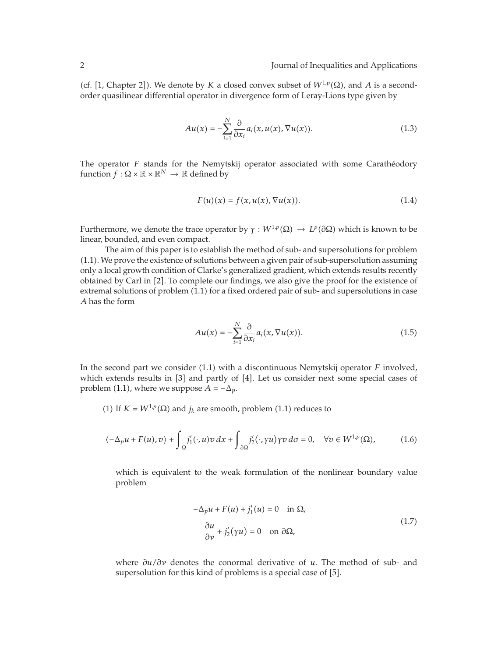(cf. [1, Chapter 2]). We denote by *K* a closed convex subset of  $W^{1,p}(\Omega)$ , and *A* is a secondorder quasilinear differential operator in divergence form of Leray-Lions type given by

$$
Au(x) = -\sum_{i=1}^{N} \frac{\partial}{\partial x_i} a_i(x, u(x), \nabla u(x)).
$$
\n(1.3)

The operator *F* stands for the Nemytskij operator associated with some Caratheodory function  $f : \Omega \times \mathbb{R} \times \mathbb{R}^N \to \mathbb{R}$  defined by

$$
F(u)(x) = f(x, u(x), \nabla u(x)).
$$
\n(1.4)

Furthermore, we denote the trace operator by  $\gamma : W^{1,p}(\Omega) \to L^p(\partial \Omega)$  which is known to be linear, bounded, and even compact.

The aim of this paper is to establish the method of sub- and supersolutions for problem 1.1. We prove the existence of solutions between a given pair of sub-supersolution assuming only a local growth condition of Clarke's generalized gradient, which extends results recently obtained by Carl in [2]. To complete our findings, we also give the proof for the existence of extremal solutions of problem (1.1) for a fixed ordered pair of sub- and supersolutions in case *A* has the form

$$
Au(x) = -\sum_{i=1}^{N} \frac{\partial}{\partial x_i} a_i(x, \nabla u(x)).
$$
\n(1.5)

In the second part we consider (1.1) with a discontinuous Nemytskij operator *F* involved, which extends results in  $[3]$  and partly of  $[4]$ . Let us consider next some special cases of problem (1.1), where we suppose  $A = -\Delta_p$ .

(1) If  $K = W^{1,p}(\Omega)$  and  $j_k$  are smooth, problem (1.1) reduces to

$$
\langle -\Delta_p u + F(u), v \rangle + \int_{\Omega} j_1'(\cdot, u) v \, dx + \int_{\partial \Omega} j_2'(\cdot, \gamma u) \gamma v \, d\sigma = 0, \quad \forall v \in W^{1, p}(\Omega), \tag{1.6}
$$

which is equivalent to the weak formulation of the nonlinear boundary value problem

$$
-\Delta_p u + F(u) + j'_1(u) = 0 \quad \text{in } \Omega,
$$
  

$$
\frac{\partial u}{\partial v} + j'_2(\gamma u) = 0 \quad \text{on } \partial \Omega,
$$
 (1.7)

where *∂u/∂ν* denotes the conormal derivative of *u*. The method of sub- and supersolution for this kind of problems is a special case of [5].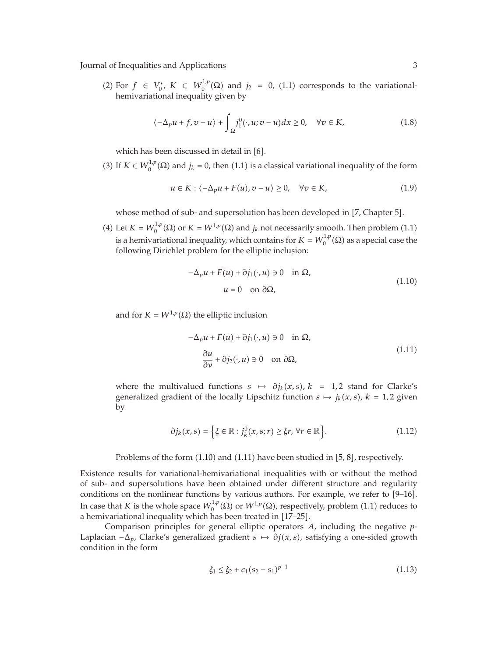(2) For *f* ∈  $V_0^*$ , *K* ⊂  $W_0^{1,p}$ ( $\Omega$ ) and *j*<sub>2</sub> = 0, (1.1) corresponds to the variationalhemivariational inequality given by

$$
\langle -\Delta_p u + f, v - u \rangle + \int_{\Omega} j_1^0(\cdot, u; v - u) dx \ge 0, \quad \forall v \in K,
$$
\n(1.8)

which has been discussed in detail in  $[6]$ .

(3) If  $K \subset W_0^{1,p}(\Omega)$  and  $j_k = 0$ , then (1.1) is a classical variational inequality of the form

$$
u \in K : \langle -\Delta_p u + F(u), v - u \rangle \ge 0, \quad \forall v \in K,
$$
\n
$$
(1.9)
$$

whose method of sub- and supersolution has been developed in [7, Chapter 5].

(4) Let  $K = W_0^{1,p}(\Omega)$  or  $K = W^{1,p}(\Omega)$  and  $j_k$  not necessarily smooth. Then problem (1.1) is a hemivariational inequality, which contains for  $K = W_0^{1,p}(\Omega)$  as a special case the following Dirichlet problem for the elliptic inclusion:

$$
-\Delta_p u + F(u) + \partial j_1(\cdot, u) \ni 0 \quad \text{in } \Omega,
$$
  
 
$$
u = 0 \quad \text{on } \partial \Omega,
$$
 (1.10)

and for  $K = W^{1,p}(\Omega)$  the elliptic inclusion

$$
-\Delta_p u + F(u) + \partial j_1(\cdot, u) \ni 0 \quad \text{in } \Omega,
$$
  
\n
$$
\frac{\partial u}{\partial \nu} + \partial j_2(\cdot, u) \ni 0 \quad \text{on } \partial \Omega,
$$
\n(1.11)

where the multivalued functions  $s \mapsto \partial j_k(x, s)$ ,  $k = 1, 2$  stand for Clarke's generalized gradient of the locally Lipschitz function  $s \mapsto j_k(x, s)$ ,  $k = 1, 2$  given by

$$
\partial j_k(x,s) = \left\{ \xi \in \mathbb{R} : j_k^0(x,s;r) \geq \xi r, \,\forall r \in \mathbb{R} \right\}.
$$
 (1.12)

Problems of the form  $(1.10)$  and  $(1.11)$  have been studied in  $[5, 8]$ , respectively.

Existence results for variational-hemivariational inequalities with or without the method of sub- and supersolutions have been obtained under different structure and regularity conditions on the nonlinear functions by various authors. For example, we refer to  $[9-16]$ . In case that *K* is the whole space  $W_0^{1,p}(\Omega)$  or  $W^{1,p}(\Omega)$ , respectively, problem (1.1) reduces to a hemivariational inequality which has been treated in [17–25].

Comparison principles for general elliptic operators *A*, including the negative *p*-Laplacian −Δ*p*, Clarke's generalized gradient *s* → *∂jx, s*, satisfying a one-sided growth condition in the form

$$
\xi_1 \le \xi_2 + c_1 (s_2 - s_1)^{p-1} \tag{1.13}
$$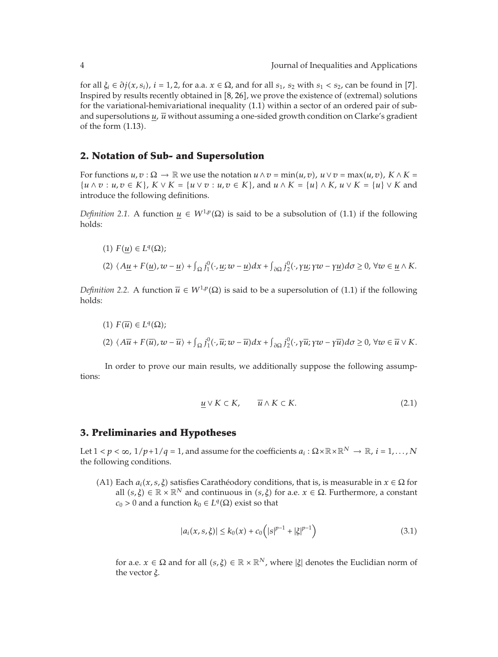*f*or all *ξ<sub>i</sub>* ∈ *∂j*(*x*, *s<sub>i</sub>*), *i* = 1, 2, for a.a. *x* ∈ Ω, and for all *s*<sub>1</sub>, *s*<sub>2</sub> with *s*<sub>1</sub> < *s*<sub>2</sub>, can be found in [7]. Inspired by results recently obtained in  $[8, 26]$ , we prove the existence of (extremal) solutions for the variational-hemivariational inequality  $(1.1)$  within a sector of an ordered pair of suband supersolutions  $u$ ,  $\overline{u}$  without assuming a one-sided growth condition on Clarke's gradient of the form  $(1.13)$ .

## **2. Notation of Sub- and Supersolution**

For functions  $u, v : \Omega \to \mathbb{R}$  we use the notation  $u \wedge v = \min(u, v)$ ,  $u \vee v = \max(u, v)$ ,  $K \wedge K =$  $\{u \wedge v : u, v \in K\}$ ,  $K \vee K = \{u \vee v : u, v \in K\}$ , and  $u \wedge K = \{u\} \wedge K$ ,  $u \vee K = \{u\} \vee K$  and introduce the following definitions.

*Definition 2.1.* A function  $u \in W^{1,p}(\Omega)$  is said to be a subsolution of (1.1) if the following holds:

 $I(1) F(u) ∈ L<sup>q</sup>(Ω);$  $(2)$   $\langle A\underline{u} + F(\underline{u}), w - \underline{u}\rangle + \int_{\Omega} j_1^0(\cdot, \underline{u}; w - \underline{u}) dx + \int_{\partial \Omega} j_2^0(\cdot, \gamma \underline{u}; \gamma w - \gamma \underline{u}) d\sigma \geq 0, \forall w \in \underline{u} \wedge K$ .

*Definition 2.2.* A function  $\overline{u} \in W^{1,p}(\Omega)$  is said to be a supersolution of (1.1) if the following holds:

 $(1)$   $F(\overline{u}) \in L^q(\Omega)$ ; (2)  $\langle A\overline{u}+F(\overline{u}),w-\overline{u}\rangle+\int_{\Omega}j_{1}^{0}(\cdot,\overline{u};w-\overline{u})dx+\int_{\partial\Omega}j_{2}^{0}(\cdot,\gamma\overline{u};\gamma w-\gamma\overline{u})d\sigma\geq0, \forall w\in\overline{u}\vee K.$ 

In order to prove our main results, we additionally suppose the following assumptions:

$$
\underline{u} \vee K \subset K, \qquad \overline{u} \wedge K \subset K. \tag{2.1}
$$

## **3. Preliminaries and Hypotheses**

Let  $1 < p < \infty$ ,  $1/p+1/q = 1$ , and assume for the coefficients  $a_i : \Omega \times \mathbb{R} \times \mathbb{R}^N \to \mathbb{R}$ ,  $i = 1, ..., N$ the following conditions.

(A1) Each  $a_i(x, s, \xi)$  satisfies Caratheodory conditions, that is, is measurable in  $x \in \Omega$  for all  $(s, \xi) \in \mathbb{R} \times \mathbb{R}^N$  and continuous in  $(s, \xi)$  for a.e.  $x \in \Omega$ . Furthermore, a constant  $c_0$  > 0 and a function  $k_0 \in L^q(\Omega)$  exist so that

$$
|a_i(x, s, \xi)| \le k_0(x) + c_0 \left( |s|^{p-1} + |\xi|^{p-1} \right)
$$
\n(3.1)

for a.e.  $x \in \Omega$  and for all  $(s, \xi) \in \mathbb{R} \times \mathbb{R}^N$ , where  $|\xi|$  denotes the Euclidian norm of the vector *ξ*.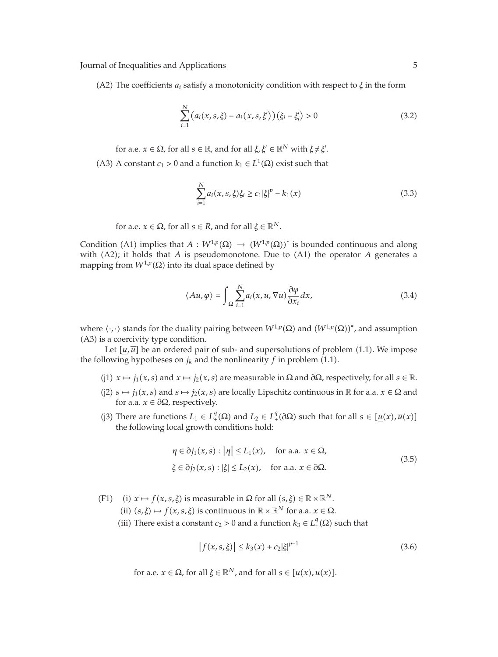(A2) The coefficients  $a_i$  satisfy a monotonicity condition with respect to  $\xi$  in the form

$$
\sum_{i=1}^{N} (a_i(x, s, \xi) - a_i(x, s, \xi'))(\xi_i - \xi'_i) > 0
$$
\n(3.2)

for a.e.  $x \in \Omega$ , for all  $s \in \mathbb{R}$ , and for all  $\xi, \xi' \in \mathbb{R}^N$  with  $\xi \neq \xi'$ .

(A3) A constant  $c_1 > 0$  and a function  $k_1 \in L^1(\Omega)$  exist such that

$$
\sum_{i=1}^{N} a_i(x, s, \xi) \xi_i \ge c_1 |\xi|^p - k_1(x)
$$
\n(3.3)

for a.e.  $x \in \Omega$ , for all  $s \in R$ , and for all  $\xi \in \mathbb{R}^N$ .

Condition (A1) implies that  $A : W^{1,p}(\Omega) \to (W^{1,p}(\Omega))^*$  is bounded continuous and along with  $(A2)$ ; it holds that *A* is pseudomonotone. Due to  $(A1)$  the operator *A* generates a mapping from  $W^{1,p}(\Omega)$  into its dual space defined by

$$
\langle Au, \varphi \rangle = \int_{\Omega} \sum_{i=1}^{N} a_i(x, u, \nabla u) \frac{\partial \varphi}{\partial x_i} dx,
$$
 (3.4)

where  $\langle \cdot, \cdot \rangle$  stands for the duality pairing between  $W^{1,p}(\Omega)$  and  $(W^{1,p}(\Omega))^*$ , and assumption (A3) is a coercivity type condition.

Let  $[u, \overline{u}]$  be an ordered pair of sub- and supersolutions of problem (1.1). We impose the following hypotheses on  $j_k$  and the nonlinearity  $f$  in problem (1.1).

- (j1)  $x \mapsto j_1(x, s)$  and  $x \mapsto j_2(x, s)$  are measurable in  $\Omega$  and  $\partial \Omega$ , respectively, for all  $s \in \mathbb{R}$ .
- (j2)  $s \mapsto j_1(x, s)$  and  $s \mapsto j_2(x, s)$  are locally Lipschitz continuous in  $\mathbb R$  for a.a.  $x \in \Omega$  and for a.a.  $x \in \partial \Omega$ , respectively.
- (j3) There are functions  $L_1 \in L_+^q(\Omega)$  and  $L_2 \in L_+^q(\partial \Omega)$  such that for all  $s \in [\underline{u}(x), \overline{u}(x)]$ the following local growth conditions hold:

$$
\eta \in \partial j_1(x, s) : |\eta| \le L_1(x), \quad \text{for a.a. } x \in \Omega,
$$
  

$$
\xi \in \partial j_2(x, s) : |\xi| \le L_2(x), \quad \text{for a.a. } x \in \partial \Omega.
$$
 (3.5)

(F1) *i*)  $x \mapsto f(x, s, \xi)$  is measurable in  $\Omega$  for all  $(s, \xi) \in \mathbb{R} \times \mathbb{R}^N$ .

(ii)  $(s, \xi) \mapsto f(x, s, \xi)$  is continuous in  $\mathbb{R} \times \mathbb{R}^N$  for a.a.  $x \in \Omega$ .

(iii) There exist a constant  $c_2 > 0$  and a function  $k_3 \in L^q_+(\Omega)$  such that

$$
|f(x, s, \xi)| \le k_3(x) + c_2 |\xi|^{p-1}
$$
\n(3.6)

for a.e.  $x \in \Omega$ , for all  $\xi \in \mathbb{R}^N$ , and for all  $s \in [u(x), \overline{u}(x)]$ .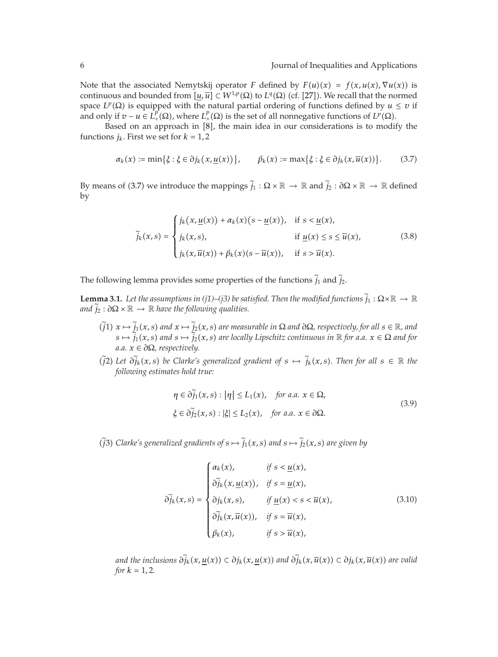Note that the associated Nemytskij operator *F* defined by  $F(u)(x) = f(x, u(x), \nabla u(x))$  is continuous and bounded from  $[u,\overline{u}] \subset W^{1,p}(\Omega)$  to  $L^q(\Omega)$  (cf. [27]). We recall that the normed space  $L^p(\Omega)$  is equipped with the natural partial ordering of functions defined by  $u \le v$  if and only if  $v - u \in L^p(\Omega)$ , where  $L^p(\Omega)$  is the set of all nonnegative functions of  $L^p(\Omega)$ .

Based on an approach in  $[8]$ , the main idea in our considerations is to modify the functions  $j_k$ . First we set for  $k = 1, 2$ 

$$
\alpha_k(x) := \min\{\xi : \xi \in \partial j_k(x, \underline{u}(x))\}, \qquad \beta_k(x) := \max\{\xi : \xi \in \partial j_k(x, \overline{u}(x))\}.
$$
 (3.7)

By means of (3.7) we introduce the mappings  $\tilde{j}_1 : \Omega \times \mathbb{R} \to \mathbb{R}$  and  $\tilde{j}_2 : \partial \Omega \times \mathbb{R} \to \mathbb{R}$  defined by

$$
\tilde{j}_k(x,s) = \begin{cases}\nj_k(x,\underline{u}(x)) + \alpha_k(x)(s - \underline{u}(x)), & \text{if } s < \underline{u}(x), \\
j_k(x,s), & \text{if } \underline{u}(x) \le s \le \overline{u}(x), \\
j_k(x,\overline{u}(x)) + \beta_k(x)(s - \overline{u}(x)), & \text{if } s > \overline{u}(x).\n\end{cases} \tag{3.8}
$$

The following lemma provides some properties of the functions  $\tilde{j}_1$  and  $\tilde{j}_2$ .

**Lemma 3.1.** Let the assumptions in (j1)–(j3) be satisfied. Then the modified functions  $\tilde{j}_1 : \Omega \times \mathbb{R} \to \mathbb{R}$ *and*  $j_2 : \partial\Omega \times \mathbb{R} \to \mathbb{R}$  *have the following qualities.* 

- $(\tilde{j}1)$   $x \mapsto \tilde{j}_1(x, s)$  and  $x \mapsto \tilde{j}_2(x, s)$  are measurable in  $\Omega$  and  $\partial \Omega$ , respectively, for all  $s \in \mathbb{R}$ , and  $s \mapsto \tilde{j}_1(x, s)$  and  $s \mapsto \tilde{j}_2(x, s)$  are locally Lipschitz continuous in  $\mathbb{R}$  for a.a.  $x \in \Omega$  $a.a. x \in \partial \Omega$ , respectively.
- *(j2)* Let  $\partial \tilde{j}_k(x, s)$  be Clarke's generalized gradient of  $s \mapsto \tilde{j}_k(x, s)$ . Then for all  $s \in \mathbb{R}$  the *following estimates hold true:*

$$
\eta \in \partial \widetilde{j}_1(x, s) : |\eta| \le L_1(x), \quad \text{for a.a. } x \in \Omega,
$$
  

$$
\xi \in \partial \widetilde{j}_2(x, s) : |\xi| \le L_2(x), \quad \text{for a.a. } x \in \partial \Omega.
$$
 (3.9)

*(i) G*) *Clarke's generalized gradients of*  $s \mapsto j_1(x, s)$  *and*  $s \mapsto j_2(x, s)$  *are given by* 

$$
\tilde{\partial}_{jk}(x,s) = \begin{cases}\n\alpha_k(x), & \text{if } s < \underline{u}(x), \\
\tilde{\partial}_{jk}(x, \underline{u}(x)), & \text{if } s = \underline{u}(x), \\
\partial_{jk}(x,s), & \text{if } \underline{u}(x) < s < \overline{u}(x), \\
\tilde{\partial}_{jk}(x, \overline{u}(x)), & \text{if } s = \overline{u}(x), \\
\beta_k(x), & \text{if } s > \overline{u}(x),\n\end{cases}
$$
\n(3.10)

*and the inclusions*  $\partial \widetilde{j}_k(x, \underline{u}(x)) \subset \partial j_k(x, \underline{u}(x))$  *and*  $\partial \widetilde{j}_k(x, \overline{u}(x)) \subset \partial j_k(x, \overline{u}(x))$  *are valid for*  $k = 1, 2$ *.*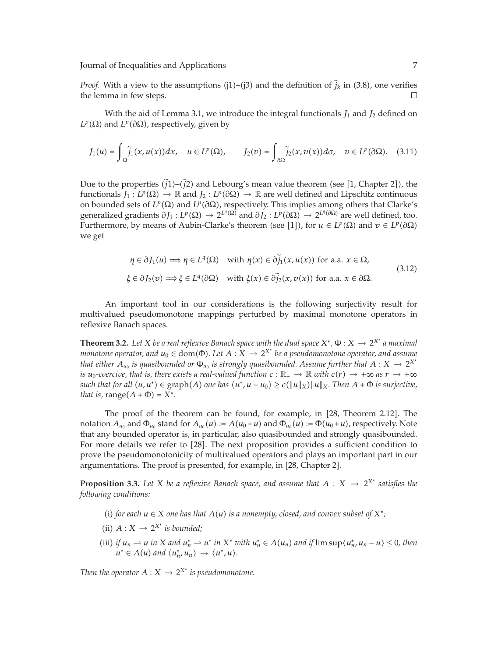*Proof.* With a view to the assumptions (j1)–(j3) and the definition of  $\tilde{j}_k$  in (3.8), one verifies the lemma in few steps. the lemma in few steps.

With the aid of Lemma 3.1, we introduce the integral functionals  $J_1$  and  $J_2$  defined on *LP*( $Ω$ ) and *LP*( $∂Ω$ ), respectively, given by

$$
J_1(u) = \int_{\Omega} \tilde{j}_1(x, u(x)) dx, \quad u \in L^p(\Omega), \qquad J_2(v) = \int_{\partial \Omega} \tilde{j}_2(x, v(x)) d\sigma, \quad v \in L^p(\partial \Omega). \tag{3.11}
$$

Due to the properties  $(j1)$ – $(j2)$  and Lebourg's mean value theorem (see [1, Chapter 2]), the functionals  $J_1: L^p(\Omega) \to \mathbb{R}$  and  $J_2: L^p(\partial \Omega) \to \mathbb{R}$  are well defined and Lipschitz continuous on bounded sets of *L<sup>p</sup>*(Ω) and *L<sup>p</sup>*(∂Ω), respectively. This implies among others that Clarke's generalized gradients  $\partial J_1 : L^p(\Omega) \to 2^{L^q(\Omega)}$  and  $\partial J_2 : L^p(\partial \Omega) \to 2^{L^q(\partial \Omega)}$  are well defined, too. Furthermore, by means of Aubin-Clarke's theorem (see [1]), for  $u \in L^p(\Omega)$  and  $v \in L^p(\partial\Omega)$ we get

$$
\eta \in \partial J_1(u) \Longrightarrow \eta \in L^q(\Omega) \quad \text{with } \eta(x) \in \partial \tilde{j}_1(x, u(x)) \text{ for a.a. } x \in \Omega,
$$
  

$$
\xi \in \partial J_2(v) \Longrightarrow \xi \in L^q(\partial \Omega) \quad \text{with } \xi(x) \in \partial \tilde{j}_2(x, v(x)) \text{ for a.a. } x \in \partial \Omega.
$$
 (3.12)

An important tool in our considerations is the following surjectivity result for multivalued pseudomonotone mappings perturbed by maximal monotone operators in reflexive Banach spaces.

**Theorem 3.2.** Let *X* be a real reflexive Banach space with the dual space  $X^*$ ,  $\Phi: X \to 2^{X^*}$  a maximal *monotone operator, and*  $u_0 \in \text{dom}(\Phi)$ *. Let*  $A: X \to 2^{X^*}$  *be a pseudomonotone operator, and assume that either*  $A_{u_0}$  *is quasibounded or*  $\Phi_{u_0}$  *is strongly quasibounded. Assume further that*  $A: X \to 2^{X^*}$ *is*  $u_0$ -coercive, that is, there exists a real-valued function  $c : \mathbb{R}_+ \to \mathbb{R}$  with  $c(r) \to +\infty$  as  $r \to +\infty$ *such that for all*  $(u, u^*) \in \text{graph}(A)$  *one has*  $\langle u^*, u - u_0 \rangle \ge c(\|u\|_X) \|u\|_X$ . Then  $A + \Phi$  is surjective, *that is,* range $(A + \Phi) = X^*$ .

The proof of the theorem can be found, for example, in [28, Theorem 2.12]. The notation  $A_{u_0}$  and  $\Phi_{u_0}$  stand for  $A_{u_0}(u) := A(u_0 + u)$  and  $\Phi_{u_0}(u) := \Phi(u_0 + u)$ , respectively. Note that any bounded operator is, in particular, also quasibounded and strongly quasibounded. For more details we refer to [28]. The next proposition provides a sufficient condition to prove the pseudomonotonicity of multivalued operators and plays an important part in our argumentations. The proof is presented, for example, in [28, Chapter 2].

**Proposition 3.3.** Let *X* be a reflexive Banach space, and assume that  $A: X \rightarrow 2^{X^*}$  satisfies the *following conditions:*

- (i) for each  $u \in X$  one has that  $A(u)$  is a nonempty, closed, and convex subset of  $X^*$ ;
- (ii)  $A: X \rightarrow 2^{X^*}$  *is bounded;*
- (iii) if  $u_n \rightharpoonup u$  in X and  $u_n^* \rightharpoonup u^*$  in X<sup>\*</sup> with  $u_n^* \in A(u_n)$  and if  $\limsup \langle u_n^*, u_n u \rangle \leq 0$ , then  $u^* \in A(u)$  and  $\langle u_n^*, u_n \rangle \to \langle u^*, u \rangle$ .

*Then the operator*  $A: X \to 2^{X^*}$  *is pseudomonotone.*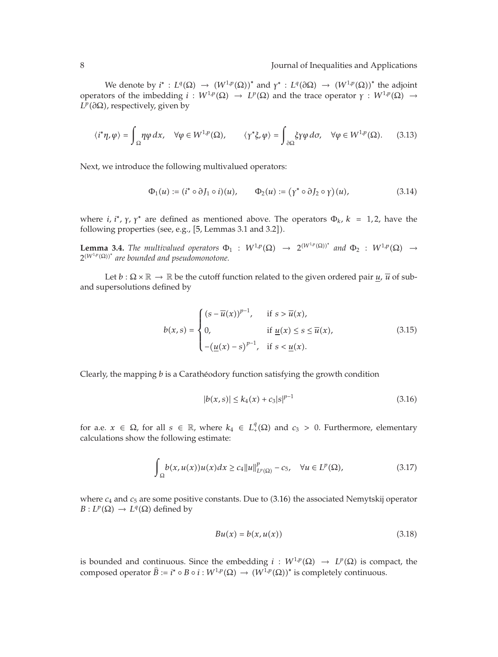We denote by  $i^* : L^q(\Omega) \to (W^{1,p}(\Omega))^*$  and  $\gamma^* : L^q(\partial \Omega) \to (W^{1,p}(\Omega))^*$  the adjoint operators of the imbedding *i* :  $W^{1,p}(\Omega)$  →  $L^p(\Omega)$  and the trace operator *γ* :  $W^{1,p}(\Omega)$  → *L<sup>p</sup>*(∂Ω), respectively, given by

$$
\langle i^*\eta, \varphi \rangle = \int_{\Omega} \eta \varphi \, dx, \quad \forall \varphi \in W^{1,p}(\Omega), \qquad \langle \gamma^* \xi, \varphi \rangle = \int_{\partial \Omega} \xi \gamma \varphi \, d\sigma, \quad \forall \varphi \in W^{1,p}(\Omega). \tag{3.13}
$$

Next, we introduce the following multivalued operators:

$$
\Phi_1(u) := (i^* \circ \partial J_1 \circ i)(u), \qquad \Phi_2(u) := (\gamma^* \circ \partial J_2 \circ \gamma)(u), \tag{3.14}
$$

where *i*, *i*<sup>\*</sup>,  $\gamma$ ,  $\gamma$ <sup>\*</sup> are defined as mentioned above. The operators  $\Phi_k$ ,  $k = 1, 2$ , have the following properties (see, e.g., [5, Lemmas 3.1 and 3.2]).

**Lemma 3.4.** *The multivalued operators*  $\Phi_1$  :  $W^{1,p}(\Omega) \rightarrow 2^{(W^{1,p}(\Omega))^*}$  *and*  $\Phi_2$  :  $W^{1,p}(\Omega) \rightarrow$  $2^{(W^{1,p}(\Omega))^{*}}$  are bounded and pseudomonotone.

Let  $b : \Omega \times \mathbb{R} \to \mathbb{R}$  be the cutoff function related to the given ordered pair  $u$ ,  $\overline{u}$  of suband supersolutions defined by

$$
b(x,s) = \begin{cases} (s - \overline{u}(x))^{p-1}, & \text{if } s > \overline{u}(x), \\ 0, & \text{if } \underline{u}(x) \le s \le \overline{u}(x), \\ -(\underline{u}(x) - s)^{p-1}, & \text{if } s < \underline{u}(x). \end{cases} \tag{3.15}
$$

Clearly, the mapping *b* is a Caratheodory function satisfying the growth condition ´

$$
|b(x,s)| \le k_4(x) + c_3|s|^{p-1}
$$
\n(3.16)

for a.e.  $x \in \Omega$ , for all  $s \in \mathbb{R}$ , where  $k_4 \in L_+^q(\Omega)$  and  $c_3 > 0$ . Furthermore, elementary calculations show the following estimate:

$$
\int_{\Omega} b(x, u(x))u(x)dx \ge c_4 \|u\|_{L^p(\Omega)}^p - c_5, \quad \forall u \in L^p(\Omega), \tag{3.17}
$$

where  $c_4$  and  $c_5$  are some positive constants. Due to  $(3.16)$  the associated Nemytskij operator  $B: L^p(\Omega) \to L^q(\Omega)$  defined by

$$
Bu(x) = b(x, u(x))
$$
\n(3.18)

is bounded and continuous. Since the embedding  $i : W^{1,p}(\Omega) \to L^p(\Omega)$  is compact, the composed operator  $\widehat{B} := i^* \circ B \circ i : W^{1,p}(\Omega) \to (W^{1,p}(\Omega))^*$  is completely continuous.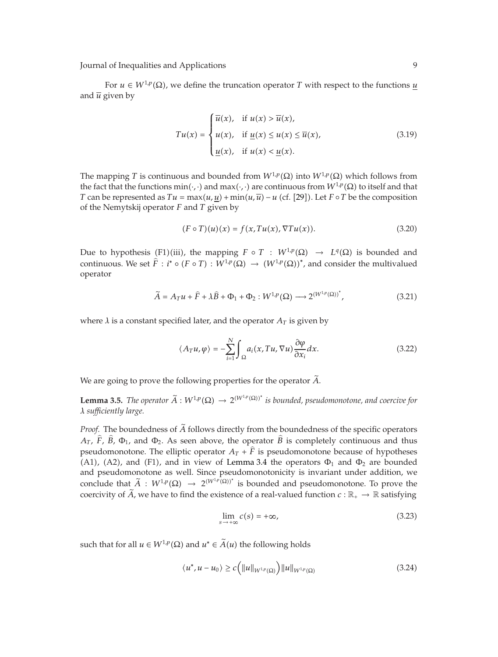For  $u \in W^{1,p}(\Omega)$ , we define the truncation operator *T* with respect to the functions <u>*u*</u> and  $\overline{u}$  given by

$$
Tu(x) = \begin{cases} \overline{u}(x), & \text{if } u(x) > \overline{u}(x), \\ u(x), & \text{if } \underline{u}(x) \le u(x) \le \overline{u}(x), \\ \underline{u}(x), & \text{if } u(x) < \underline{u}(x). \end{cases}
$$
(3.19)

The mapping *T* is continuous and bounded from  $W^{1,p}(\Omega)$  into  $W^{1,p}(\Omega)$  which follows from the fact that the functions min $(\cdot, \cdot)$  and max $(\cdot, \cdot)$  are continuous from  $W^{1,p}(\Omega)$  to itself and that *T* can be represented as  $Tu = \max(u, u) + \min(u, \overline{u}) - u$  (cf. [29]). Let *F* ∘ *T* be the composition of the Nemytskij operator *F* and *T* given by

$$
(F \circ T)(u)(x) = f(x, Tu(x), \nabla Tu(x)). \tag{3.20}
$$

Due to hypothesis (F1)(iii), the mapping  $F \circ T : W^{1,p}(\Omega) \to L^q(\Omega)$  is bounded and continuous. We set  $\hat{F}$  :  $i^* \circ (F \circ T) : W^{1,p}(\Omega) \to (W^{1,p}(\Omega))^*$ , and consider the multivalued operator

$$
\widetilde{A} = A_T u + \widehat{F} + \lambda \widehat{B} + \Phi_1 + \Phi_2 : W^{1,p}(\Omega) \longrightarrow 2^{(W^{1,p}(\Omega))^{*}},
$$
\n(3.21)

where  $\lambda$  is a constant specified later, and the operator  $A_T$  is given by

$$
\langle A_T u, \varphi \rangle = -\sum_{i=1}^N \int_{\Omega} a_i(x, Tu, \nabla u) \frac{\partial \varphi}{\partial x_i} dx.
$$
 (3.22)

We are going to prove the following properties for the operator *<sup>A</sup>*.

**Lemma 3.5.** *The operator*  $\widetilde{A}: W^{1,p}(\Omega) \to 2^{(W^{1,p}(\Omega))^*}$  is bounded, pseudomonotone, and coercive for *λ sufficiently large.*

*Proof.* The boundedness of *<sup>A</sup>* follows directly from the boundedness of the specific operators  $A_T$ ,  $\hat{F}$ ,  $\hat{B}$ ,  $\Phi_1$ , and  $\Phi_2$ . As seen above, the operator  $\hat{B}$  is completely continuous and thus pseudomonotone. The elliptic operator  $A_T + \hat{F}$  is pseudomonotone because of hypotheses (A1), (A2), and (F1), and in view of Lemma 3.4 the operators  $\Phi_1$  and  $\Phi_2$  are bounded and pseudomonotone as well. Since pseudomonotonicity is invariant under addition, we conclude that  $\widetilde{A}$  :  $W^{1,p}(\Omega) \to 2^{(W^{1,p}(\Omega))^*}$  is bounded and pseudomonotone. To prove the coercivity of  $\tilde{A}$ , we have to find the existence of a real-valued function  $c : \mathbb{R}_+ \to \mathbb{R}$  satisfying

$$
\lim_{s \to +\infty} c(s) = +\infty,\tag{3.23}
$$

such that for all  $u \in W^{1,p}(\Omega)$  and  $u^* \in \tilde{A}(u)$  the following holds

$$
\langle u^*, u - u_0 \rangle \ge c \Big( \|u\|_{W^{1,p}(\Omega)} \Big) \|u\|_{W^{1,p}(\Omega)} \tag{3.24}
$$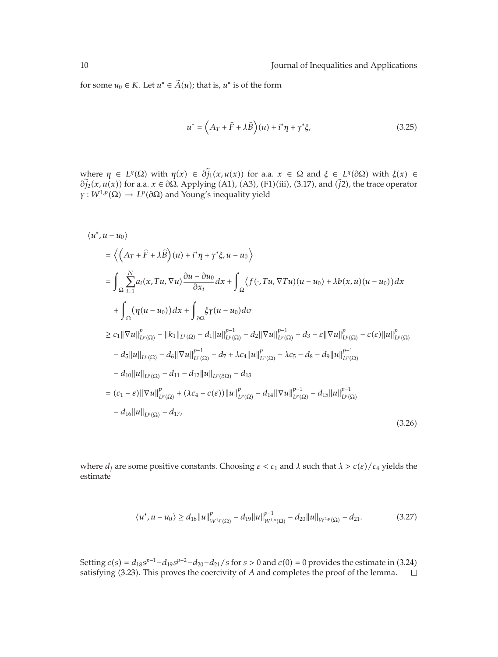for some  $u_0 \in K$ . Let  $u^* \in \tilde{A}(u)$ ; that is,  $u^*$  is of the form

$$
u^* = \left(A_T + \hat{F} + \lambda \hat{B}\right)(u) + i^* \eta + \gamma^* \xi,\tag{3.25}
$$

where  $\eta \in L^q(\Omega)$  with  $\eta(x) \in \partial \widetilde{j}_1(x, u(x))$  for a.a.  $x \in \Omega$  and  $\xi \in L^q(\partial \Omega)$  with  $\xi(x) \in \partial \widetilde{j}_1(x)$ *∂* $\tilde{j}_2(x, u(x))$  for a.a. *x* ∈ *∂*Ω. Applying (A1), (A3), (F1)(iii), (3.17), and  $(\tilde{j}2)$ , the trace operator  $\gamma: W^{1,p}(\Omega) \to L^p(\partial \Omega)$  and Young's inequality yield

$$
\langle u^*, u - u_0 \rangle
$$
  
\n
$$
= \langle \left( A_T + \hat{F} + \lambda \hat{B} \right) (u) + i^* \eta + \gamma^* \xi, u - u_0 \rangle
$$
  
\n
$$
= \int_{\Omega} \sum_{i=1}^N a_i (x, Tu, \nabla u) \frac{\partial u - \partial u_0}{\partial x_i} dx + \int_{\Omega} (f(\cdot, Tu, \nabla Tu)(u - u_0) + \lambda b(x, u)(u - u_0)) dx
$$
  
\n
$$
+ \int_{\Omega} (\eta (u - u_0)) dx + \int_{\partial \Omega} \xi \gamma (u - u_0) d\sigma
$$
  
\n
$$
\geq c_1 ||\nabla u||_{L^p(\Omega)}^p - ||k_1||_{L^1(\Omega)} - d_1 ||u||_{L^p(\Omega)}^{p-1} - d_2 ||\nabla u||_{L^p(\Omega)}^{p-1} - d_3 - \varepsilon ||\nabla u||_{L^p(\Omega)}^p - c(\varepsilon) ||u||_{L^p(\Omega)}^p
$$
  
\n
$$
- d_5 ||u||_{L^p(\Omega)} - d_6 ||\nabla u||_{L^p(\Omega)}^{p-1} - d_7 + \lambda c_4 ||u||_{L^p(\Omega)}^p - \lambda c_5 - d_8 - d_9 ||u||_{L^p(\Omega)}^{p-1}
$$
  
\n
$$
- d_{10} ||u||_{L^p(\Omega)} - d_{11} - d_{12} ||u||_{L^p(\partial \Omega)} - d_{13}
$$
  
\n
$$
= (c_1 - \varepsilon) ||\nabla u||_{L^p(\Omega)}^p + (\lambda c_4 - c(\varepsilon)) ||u||_{L^p(\Omega)}^p - d_{14} ||\nabla u||_{L^p(\Omega)}^{p-1} - d_{15} ||u||_{L^p(\Omega)}^{p-1}
$$
  
\n
$$
- d_{16} ||u||_{L^p(\Omega)} - d_{17},
$$
\n(3.26)

where  $d_i$  are some positive constants. Choosing  $\varepsilon < c_1$  and  $\lambda$  such that  $\lambda > c(\varepsilon)/c_4$  yields the estimate

$$
\langle u^*, u - u_0 \rangle \ge d_{18} \|u\|_{W^{1,p}(\Omega)}^p - d_{19} \|u\|_{W^{1,p}(\Omega)}^{p-1} - d_{20} \|u\|_{W^{1,p}(\Omega)} - d_{21}.
$$
 (3.27)

Setting  $c(s) = d_{18} s^{p-1} - d_{19} s^{p-2} - d_{20} - d_{21}/s$  for  $s > 0$  and  $c(0) = 0$  provides the estimate in (3.24) satisfying (3.23). This proves the coercivity of *A* and completes the proof of the lemma.  $\Box$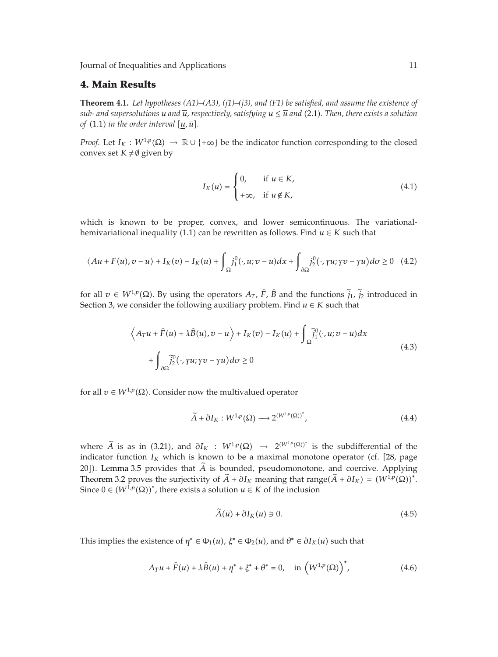## **4. Main Results**

**Theorem 4.1.** *Let hypotheses (A1)–(A3), (j1)–(j3), and (F1) be satisfied, and assume the existence of sub- and supersolutions u and*  $\overline{u}$ *, respectively, satisfying*  $u \leq \overline{u}$  *and* (2.1). Then, there exists a solution *of* (1.1) *in the order interval*  $[u, \overline{u}]$ *.* 

*Proof.* Let  $I_K : W^{1,p}(\Omega) \to \mathbb{R} \cup \{+\infty\}$  be the indicator function corresponding to the closed convex set  $K \neq \emptyset$  given by

$$
I_K(u) = \begin{cases} 0, & \text{if } u \in K, \\ +\infty, & \text{if } u \notin K, \end{cases}
$$
 (4.1)

which is known to be proper, convex, and lower semicontinuous. The variationalhemivariational inequality (1.1) can be rewritten as follows. Find  $u \in K$  such that

$$
\langle Au + F(u), v - u \rangle + I_K(v) - I_K(u) + \int_{\Omega} j_1^0(\cdot, u; v - u) dx + \int_{\partial \Omega} j_2^0(\cdot, \gamma u; \gamma v - \gamma u) d\sigma \ge 0 \quad (4.2)
$$

for all  $v \in W^{1,p}(\Omega)$ . By using the operators  $A_T$ ,  $\hat{F}$ ,  $\hat{B}$  and the functions  $\tilde{j}_1$ ,  $\tilde{j}_2$  introduced in Section 3, we consider the following auxiliary problem. Find  $u \in K$  such that

$$
\left\langle A_T u + \hat{F}(u) + \lambda \hat{B}(u), v - u \right\rangle + I_K(v) - I_K(u) + \int_{\Omega} \tilde{j}_1^0(\cdot, u; v - u) dx + \int_{\partial \Omega} \tilde{j}_2^0(\cdot, \gamma u; \gamma v - \gamma u) d\sigma \ge 0
$$
\n(4.3)

for all  $v \in W^{1,p}(\Omega)$ . Consider now the multivalued operator

$$
\widetilde{A} + \partial I_K : W^{1,p}(\Omega) \longrightarrow 2^{(W^{1,p}(\Omega))^*}, \tag{4.4}
$$

where  $\widetilde{A}$  is as in (3.21), and  $\partial I_K$  :  $W^{1,p}(\Omega) \rightarrow 2^{(W^{1,p}(\Omega))^*}$  is the subdifferential of the indicator function  $I_K$  which is known to be a maximal monotone operator (cf. [28, page 20]). Lemma 3.5 provides that  $\tilde{A}$  is bounded, pseudomonotone, and coercive. Applying Theorem 3.2 proves the surjectivity of  $\widetilde{A} + \partial I_K$  meaning that range $(\widetilde{A} + \partial I_K) = (W^{1,p}(\Omega))^*$ . Since  $0 \in (W^{\hat{1},p}(\Omega))^*$ , there exists a solution  $u \in K$  of the inclusion

$$
\widetilde{A}(u) + \partial I_K(u) \ni 0. \tag{4.5}
$$

This implies the existence of  $\eta^* \in \Phi_1(u)$ ,  $\xi^* \in \Phi_2(u)$ , and  $\theta^* \in \partial I_K(u)$  such that

$$
A_T u + \widehat{F}(u) + \lambda \widehat{B}(u) + \eta^* + \xi^* + \theta^* = 0, \quad \text{in} \left(W^{1,p}(\Omega)\right)^*, \tag{4.6}
$$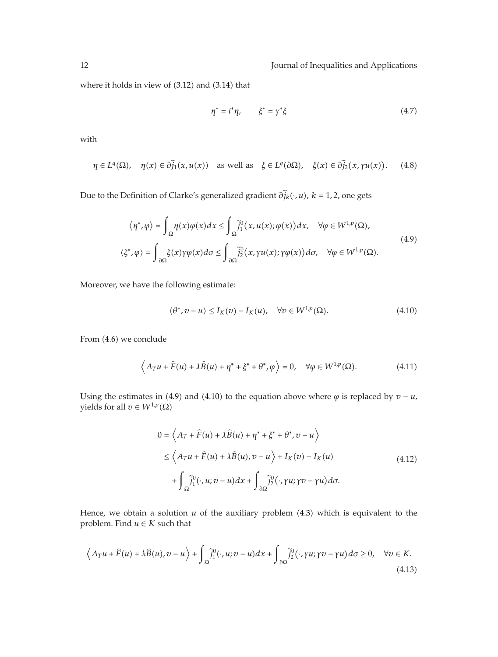where it holds in view of  $(3.12)$  and  $(3.14)$  that

$$
\eta^* = i^* \eta, \qquad \xi^* = \gamma^* \xi \tag{4.7}
$$

with

$$
\eta \in L^{q}(\Omega), \quad \eta(x) \in \partial \tilde{j}_{1}(x, u(x)) \quad \text{as well as} \quad \xi \in L^{q}(\partial \Omega), \quad \xi(x) \in \partial \tilde{j}_{2}(x, \gamma u(x)). \tag{4.8}
$$

Due to the Definition of Clarke's generalized gradient  $\partial \tilde{j}_k(\cdot, u)$ ,  $k = 1, 2$ , one gets

$$
\langle \eta^*, \varphi \rangle = \int_{\Omega} \eta(x) \varphi(x) dx \le \int_{\Omega} \tilde{j}_1^0(x, u(x); \varphi(x)) dx, \quad \forall \varphi \in W^{1, p}(\Omega),
$$
  

$$
\langle \xi^*, \varphi \rangle = \int_{\partial \Omega} \xi(x) \gamma \varphi(x) d\sigma \le \int_{\partial \Omega} \tilde{j}_2^0(x, \gamma u(x); \gamma \varphi(x)) d\sigma, \quad \forall \varphi \in W^{1, p}(\Omega).
$$
 (4.9)

Moreover, we have the following estimate:

$$
\langle \theta^*, v - u \rangle \le I_K(v) - I_K(u), \quad \forall v \in W^{1,p}(\Omega). \tag{4.10}
$$

From  $(4.6)$  we conclude

$$
\left\langle A_T u + \widehat{F}(u) + \lambda \widehat{B}(u) + \eta^* + \xi^* + \theta^*, \varphi \right\rangle = 0, \quad \forall \varphi \in W^{1,p}(\Omega). \tag{4.11}
$$

Using the estimates in (4.9) and (4.10) to the equation above where  $\varphi$  is replaced by  $v - u$ , yields for all  $v \in W^{1,p}(\Omega)$ 

$$
0 = \left\langle A_T + \hat{F}(u) + \lambda \hat{B}(u) + \eta^* + \xi^* + \theta^*, v - u \right\rangle
$$
  
\n
$$
\leq \left\langle A_T u + \hat{F}(u) + \lambda \hat{B}(u), v - u \right\rangle + I_K(v) - I_K(u)
$$
  
\n
$$
+ \int_{\Omega} \tilde{j}_1^0(\cdot, u; v - u) dx + \int_{\partial \Omega} \tilde{j}_2^0(\cdot, \gamma u; \gamma v - \gamma u) d\sigma.
$$
\n(4.12)

Hence, we obtain a solution  $u$  of the auxiliary problem  $(4.3)$  which is equivalent to the problem. Find  $u \in K$  such that

$$
\left\langle A_T u + \widehat{F}(u) + \lambda \widehat{B}(u), v - u \right\rangle + \int_{\Omega} \widetilde{j}_1^0(\cdot, u; v - u) dx + \int_{\partial \Omega} \widetilde{j}_2^0(\cdot, \gamma u; \gamma v - \gamma u) d\sigma \ge 0, \quad \forall v \in K.
$$
\n(4.13)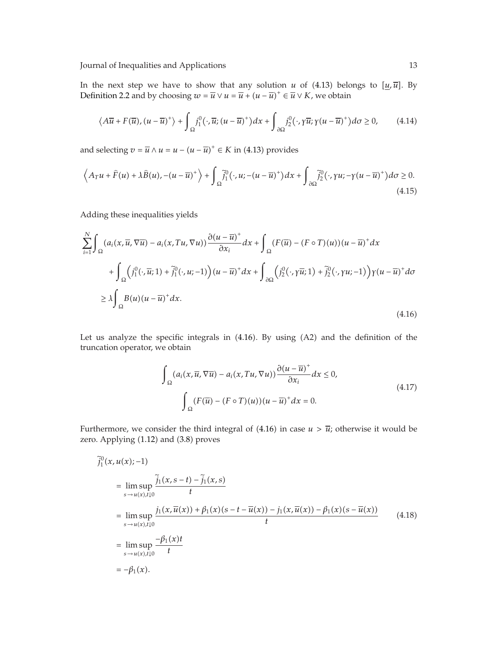In the next step we have to show that any solution *u* of (4.13) belongs to  $[\underline{u}, \overline{u}]$ . By Definition 2.2 and by choosing  $w = \overline{u} \vee u = \overline{u} + (u - \overline{u})^+ \in \overline{u} \vee K$ , we obtain

$$
\langle A\overline{u} + F(\overline{u}), (u - \overline{u})^+ \rangle + \int_{\Omega} j_1^0(\cdot, \overline{u}; (u - \overline{u})^+) dx + \int_{\partial \Omega} j_2^0(\cdot, \gamma \overline{u}; \gamma (u - \overline{u})^+) d\sigma \ge 0, \qquad (4.14)
$$

and selecting  $v = \overline{u} \wedge u = u - (u - \overline{u})^+ \in K$  in (4.13) provides

$$
\left\langle A_T u + \widehat{F}(u) + \lambda \widehat{B}(u), -(u - \overline{u})^+ \right\rangle + \int_{\Omega} \widetilde{f}_1^0(\cdot, u; -(u - \overline{u})^+) dx + \int_{\partial \Omega} \widetilde{f}_2^0(\cdot, \gamma u; -\gamma (u - \overline{u})^+) d\sigma \ge 0.
$$
\n(4.15)

Adding these inequalities yields

$$
\sum_{i=1}^{N} \int_{\Omega} (a_i(x, \overline{u}, \nabla \overline{u}) - a_i(x, Tu, \nabla u)) \frac{\partial (u - \overline{u})^+}{\partial x_i} dx + \int_{\Omega} (F(\overline{u}) - (F \circ T)(u))(u - \overline{u})^+ dx
$$
  
+ 
$$
\int_{\Omega} (j_1^0(\cdot, \overline{u}; 1) + \tilde{j}_1^0(\cdot, u; -1))(u - \overline{u})^+ dx + \int_{\partial \Omega} (j_2^0(\cdot, \gamma \overline{u}; 1) + \tilde{j}_2^0(\cdot, \gamma u; -1)) \gamma (u - \overline{u})^+ d\sigma
$$
  

$$
\geq \lambda \int_{\Omega} B(u)(u - \overline{u})^+ dx.
$$
 (4.16)

Let us analyze the specific integrals in  $(4.16)$ . By using  $(A2)$  and the definition of the truncation operator, we obtain

$$
\int_{\Omega} (a_i(x, \overline{u}, \nabla \overline{u}) - a_i(x, Tu, \nabla u)) \frac{\partial (u - \overline{u})^+}{\partial x_i} dx \le 0,
$$
\n
$$
\int_{\Omega} (F(\overline{u}) - (F \circ T)(u))(u - \overline{u})^+ dx = 0.
$$
\n(4.17)

Furthermore, we consider the third integral of  $(4.16)$  in case  $u > \overline{u}$ ; otherwise it would be zero. Applying  $(1.12)$  and  $(3.8)$  proves

$$
\tilde{j}_{1}^{0}(x, u(x); -1)
$$
\n
$$
= \lim_{s \to u(x), t \downarrow 0} \tilde{j}_{1}(x, s - t) - \tilde{j}_{1}(x, s)
$$
\n
$$
= \lim_{s \to u(x), t \downarrow 0} \frac{j_{1}(x, \overline{u}(x)) + \beta_{1}(x)(s - t - \overline{u}(x)) - j_{1}(x, \overline{u}(x)) - \beta_{1}(x)(s - \overline{u}(x))}{t}
$$
\n
$$
= \lim_{s \to u(x), t \downarrow 0} \frac{-\beta_{1}(x)t}{t}
$$
\n
$$
= -\beta_{1}(x).
$$
\n(4.18)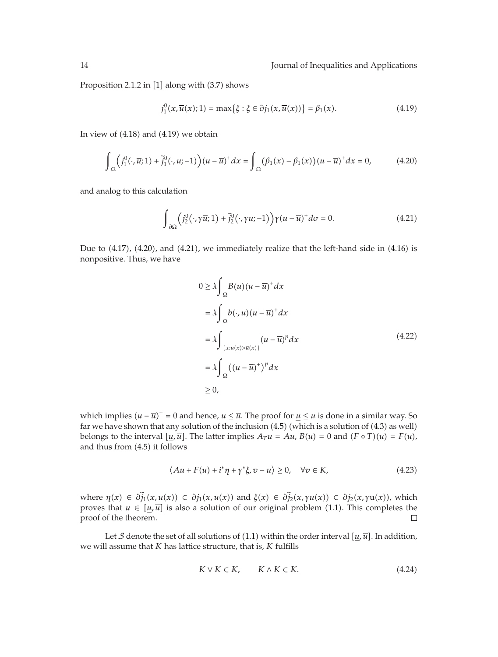Proposition 2.1.2 in [1] along with (3.7) shows

$$
j_1^0(x,\overline{u}(x);1) = \max\{\xi : \xi \in \partial j_1(x,\overline{u}(x))\} = \beta_1(x). \tag{4.19}
$$

In view of  $(4.18)$  and  $(4.19)$  we obtain

$$
\int_{\Omega} \left( j_1^0(\cdot, \overline{u}; 1) + \tilde{j}_1^0(\cdot, u; -1) \right) (u - \overline{u})^+ dx = \int_{\Omega} \left( \beta_1(x) - \beta_1(x) \right) (u - \overline{u})^+ dx = 0,
$$
\n(4.20)

and analog to this calculation

$$
\int_{\partial\Omega} \left( j_2^0(\cdot, \gamma \overline{u}; 1) + \tilde{j}_2^0(\cdot, \gamma u; -1) \right) \gamma (u - \overline{u})^+ d\sigma = 0. \tag{4.21}
$$

Due to  $(4.17)$ ,  $(4.20)$ , and  $(4.21)$ , we immediately realize that the left-hand side in  $(4.16)$  is nonpositive. Thus, we have

$$
0 \ge \lambda \int_{\Omega} B(u)(u - \overline{u})^{+} dx
$$
  
=  $\lambda \int_{\Omega} b(\cdot, u)(u - \overline{u})^{+} dx$   
=  $\lambda \int_{\{x: u(x) > \overline{u}(x)\}} (u - \overline{u})^{p} dx$   
=  $\lambda \int_{\Omega} ((u - \overline{u})^{+})^{p} dx$   
 $\ge 0,$  (4.22)

which implies  $(u - \overline{u})^+ = 0$  and hence,  $u \leq \overline{u}$ . The proof for  $\underline{u} \leq u$  is done in a similar way. So far we have shown that any solution of the inclusion  $(4.5)$  (which is a solution of  $(4.3)$  as well) belongs to the interval  $[u, \overline{u}]$ . The latter implies  $A_T u = Au$ ,  $B(u) = 0$  and  $(F \circ T)(u) = F(u)$ , and thus from  $(4.5)$  it follows

$$
\langle Au + F(u) + i^* \eta + \gamma^* \xi, v - u \rangle \ge 0, \quad \forall v \in K,
$$
\n(4.23)

where  $\eta(x) \in \partial_{j_1}^x(x, u(x)) \subset \partial_{j_1}(x, u(x))$  and  $\xi(x) \in \partial_{j_2}^x(x, \gamma u(x)) \subset \partial_{j_2}(x, \gamma u(x))$ , which proves that  $u \in [u, \overline{u}]$  is also a solution of our original problem (1.1). This completes the proof of the theorem.  $\Box$ 

Let  $S$  denote the set of all solutions of (1.1) within the order interval  $[\underline{u}, \overline{u}]$ . In addition, we will assume that *K* has lattice structure, that is, *K* fulfills

$$
K \vee K \subset K, \qquad K \wedge K \subset K. \tag{4.24}
$$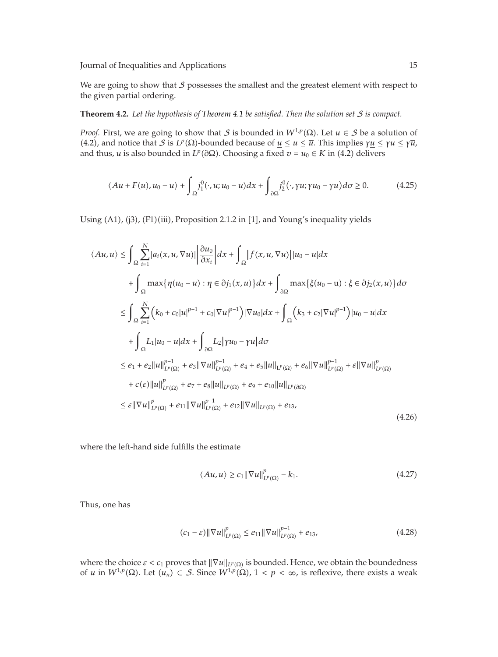We are going to show that  $S$  possesses the smallest and the greatest element with respect to the given partial ordering.

#### **Theorem 4.2.** *Let the hypothesis of Theorem 4.1 be satisfied. Then the solution set* S *is compact.*

*Proof.* First, we are going to show that S is bounded in  $W^{1,p}(\Omega)$ . Let  $u \in S$  be a solution of  $(4.2)$ , and notice that *S* is *LP*(Ω)-bounded because of <u>*u*</u> ≤ *u* ≤  $\overline{u}$ . This implies γ<u>*u*</u> ≤ γ*u* ≤ γ*ū*, and thus, *u* is also bounded in  $L^p(\partial\Omega)$ . Choosing a fixed  $v = u_0 \in K$  in (4.2) delivers

$$
\langle Au + F(u), u_0 - u \rangle + \int_{\Omega} j_1^0(\cdot, u; u_0 - u) dx + \int_{\partial \Omega} j_2^0(\cdot, \gamma u; \gamma u_0 - \gamma u) d\sigma \ge 0.
$$
 (4.25)

Using (A1), (j3), (F1)(iii), Proposition 2.1.2 in [1], and Young's inequality yields

$$
\langle Au, u \rangle \leq \int_{\Omega} \sum_{i=1}^{N} |a_{i}(x, u, \nabla u)| \left| \frac{\partial u_{0}}{\partial x_{i}} \right| dx + \int_{\Omega} |f(x, u, \nabla u)| |u_{0} - u| dx + \int_{\Omega} \max \{ \eta(u_{0} - u) : \eta \in \partial j_{1}(x, u) \} dx + \int_{\partial \Omega} \max \{ \xi(u_{0} - u) : \xi \in \partial j_{2}(x, u) \} d\sigma \leq \int_{\Omega} \sum_{i=1}^{N} (k_{0} + c_{0}|u|^{p-1} + c_{0}|\nabla u|^{p-1}) |\nabla u_{0}| dx + \int_{\Omega} (k_{3} + c_{2}|\nabla u|^{p-1}) |u_{0} - u| dx + \int_{\Omega} L_{1}|u_{0} - u| dx + \int_{\partial \Omega} L_{2}| \gamma u_{0} - \gamma u| d\sigma \leq e_{1} + e_{2} ||u||_{L^{p}(\Omega)}^{p-1} + e_{3} ||\nabla u||_{L^{p}(\Omega)}^{p-1} + e_{4} + e_{5} ||u||_{L^{p}(\Omega)} + e_{6} ||\nabla u||_{L^{p}(\Omega)}^{p-1} + \varepsilon ||\nabla u||_{L^{p}(\Omega)}^{p} + c(\varepsilon) ||u||_{L^{p}(\Omega)}^{p} + e_{7} + e_{8} ||u||_{L^{p}(\Omega)} + e_{9} + e_{10} ||u||_{L^{p}(\partial \Omega)} \leq \varepsilon ||\nabla u||_{L^{p}(\Omega)}^{p} + e_{11} ||\nabla u||_{L^{p}(\Omega)}^{p-1} + e_{12} ||\nabla u||_{L^{p}(\Omega)} + e_{13},
$$
\n(4.26)

where the left-hand side fulfills the estimate

$$
\langle Au, u \rangle \ge c_1 \|\nabla u\|_{L^p(\Omega)}^p - k_1. \tag{4.27}
$$

Thus, one has

$$
(c_1 - \varepsilon) \|\nabla u\|_{L^p(\Omega)}^p \le e_{11} \|\nabla u\|_{L^p(\Omega)}^{p-1} + e_{13},
$$
\n(4.28)

where the choice  $\varepsilon < c_1$  proves that  $\|\nabla u\|_{L^p(\Omega)}$  is bounded. Hence, we obtain the boundedness of *u* in  $W^{1,p}(\Omega)$ . Let  $(u_n) \subset S$ . Since  $W^{1,p}(\Omega)$ ,  $1 < p < \infty$ , is reflexive, there exists a weak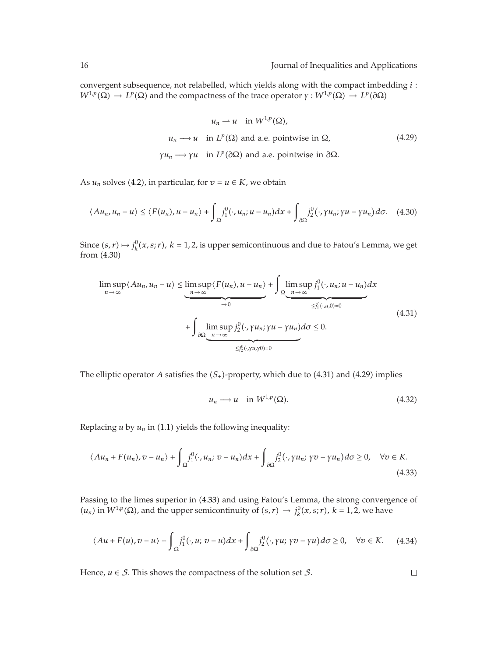convergent subsequence, not relabelled, which yields along with the compact imbedding *i* : *W*<sup>1*,p*</sup>(Ω) → *L<sup>p</sup>*(Ω) and the compactness of the trace operator *γ* : *W*<sup>1</sup>*,p*</sup>(Ω) → *LP*(∂Ω)

$$
u_n \rightharpoonup u \quad \text{in } W^{1,p}(\Omega),
$$
\n
$$
u_n \rightharpoonup u \quad \text{in } L^p(\Omega) \text{ and a.e. pointwise in } \Omega,
$$
\n
$$
\gamma u_n \rightharpoonup \gamma u \quad \text{in } L^p(\partial \Omega) \text{ and a.e. pointwise in } \partial \Omega.
$$
\n
$$
(4.29)
$$

As  $u_n$  solves (4.2), in particular, for  $v = u \in K$ , we obtain

$$
\langle Au_n, u_n - u \rangle \le \langle F(u_n), u - u_n \rangle + \int_{\Omega} j_1^0(\cdot, u_n; u - u_n) dx + \int_{\partial \Omega} j_2^0(\cdot, \gamma u_n; \gamma u - \gamma u_n) d\sigma. \tag{4.30}
$$

Since  $(s, r) \mapsto j_k^0(x, s; r)$ ,  $k = 1, 2$ , is upper semicontinuous and due to Fatou's Lemma, we get from  $(4.30)$ 

$$
\limsup_{n \to \infty} \langle Au_n, u_n - u \rangle \leq \limsup_{n \to \infty} \langle F(u_n), u - u_n \rangle + \int_{\Omega} \limsup_{n \to \infty} j_1^0(\cdot, u_n; u - u_n) dx
$$
  
+ 
$$
\int_{\partial \Omega} \limsup_{n \to \infty} j_2^0(\cdot, \gamma u_n; \gamma u - \gamma u_n) d\sigma \leq 0.
$$
  

$$
\leq j_2^0(\cdot, \gamma u_n; \gamma 0) = 0
$$
 (4.31)

The elliptic operator *A* satisfies the  $(S_+)$ -property, which due to  $(4.31)$  and  $(4.29)$  implies

$$
u_n \longrightarrow u \quad \text{in } W^{1,p}(\Omega). \tag{4.32}
$$

Replacing  $u$  by  $u_n$  in (1.1) yields the following inequality:

$$
\langle Au_n + F(u_n), v - u_n \rangle + \int_{\Omega} j_1^0(\cdot, u_n; v - u_n) dx + \int_{\partial \Omega} j_2^0(\cdot, \gamma u_n; \gamma v - \gamma u_n) d\sigma \ge 0, \quad \forall v \in K.
$$
\n(4.33)

Passing to the limes superior in 4.33 and using Fatou's Lemma, the strong convergence of  $(u_n)$  in  $W^{1,p}(\Omega)$ , and the upper semicontinuity of  $(s,r) \to j^0_k(x,s;r)$ ,  $k = 1,2$ , we have

$$
\langle Au + F(u), v - u \rangle + \int_{\Omega} j_1^0(\cdot, u; v - u) dx + \int_{\partial \Omega} j_2^0(\cdot, \gamma u; \gamma v - \gamma u) d\sigma \ge 0, \quad \forall v \in K. \tag{4.34}
$$

Hence,  $u \in S$ . This shows the compactness of the solution set  $S$ .

 $\Box$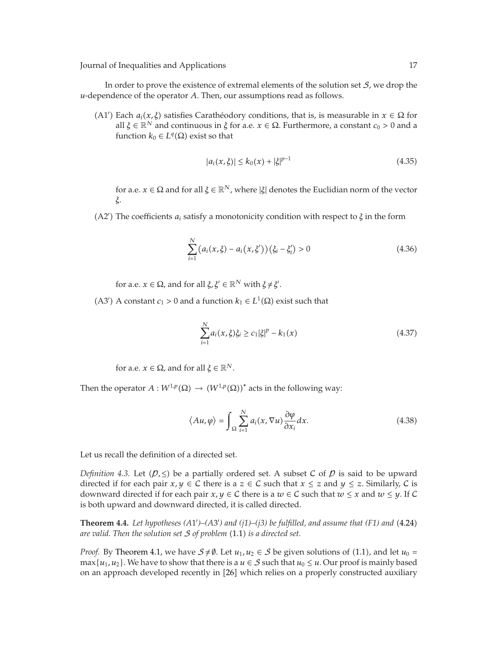In order to prove the existence of extremal elements of the solution set  $S$ , we drop the *u*-dependence of the operator *A*. Then, our assumptions read as follows.

(A1<sup>*'*</sup>) Each *a<sub>i</sub>*(*x*, *ξ*) satisfies Carathéodory conditions, that is, is measurable in *x* ∈ Ω for all  $\xi$  ∈  $\mathbb{R}^N$  and continuous in  $\xi$  for a.e. *x* ∈ Ω. Furthermore, a constant *c*<sub>0</sub> > 0 and a function  $k_0 \in L^q(\Omega)$  exist so that

$$
|a_i(x,\xi)| \le k_0(x) + |\xi|^{p-1}
$$
\n(4.35)

for a.e.  $x \in \Omega$  and for all  $\xi \in \mathbb{R}^N$ , where  $|\xi|$  denotes the Euclidian norm of the vector *ξ*.

A2 The coefficients *ai* satisfy a monotonicity condition with respect to *ξ* in the form

$$
\sum_{i=1}^{N} (a_i(x, \xi) - a_i(x, \xi'))(\xi_i - \xi'_i) > 0
$$
\n(4.36)

for a.e.  $x \in \Omega$ , and for all  $\xi, \xi' \in \mathbb{R}^N$  with  $\xi \neq \xi'$ .

(A3<sup>'</sup>) A constant *c*<sub>1</sub> > 0 and a function  $k_1 \in L^1(\Omega)$  exist such that

$$
\sum_{i=1}^{N} a_i(x, \xi) \xi_i \ge c_1 |\xi|^p - k_1(x) \tag{4.37}
$$

for a.e.  $x \in \Omega$ , and for all  $\xi \in \mathbb{R}^N$ .

Then the operator  $A: W^{1,p}(\Omega) \to (W^{1,p}(\Omega))^*$  acts in the following way:

$$
\langle Au, \varphi \rangle = \int_{\Omega} \sum_{i=1}^{N} a_i(x, \nabla u) \frac{\partial \varphi}{\partial x_i} dx.
$$
 (4.38)

Let us recall the definition of a directed set.

*Definition 4.3.* Let  $(p, \leq)$  be a partially ordered set. A subset C of  $p$  is said to be upward directed if for each pair  $x, y \in C$  there is a  $z \in C$  such that  $x \le z$  and  $y \le z$ . Similarly, C is downward directed if for each pair *x*,  $y \in C$  there is a  $w \in C$  such that  $w \le x$  and  $w \le y$ . If C is both upward and downward directed, it is called directed.

**Theorem 4.4.** Let hypotheses (A1')–(A3') and (j1)–(j3) be fulfilled, and assume that (F1) and (4.24) *are valid. Then the solution set* S *of problem* 1.1 *is a directed set.*

*Proof.* By Theorem 4.1, we have  $S \neq \emptyset$ . Let  $u_1, u_2 \in S$  be given solutions of (1.1), and let  $u_0 =$ max $\{u_1, u_2\}$ . We have to show that there is a  $u \in S$  such that  $u_0 \leq u$ . Our proof is mainly based on an approach developed recently in [26] which relies on a properly constructed auxiliary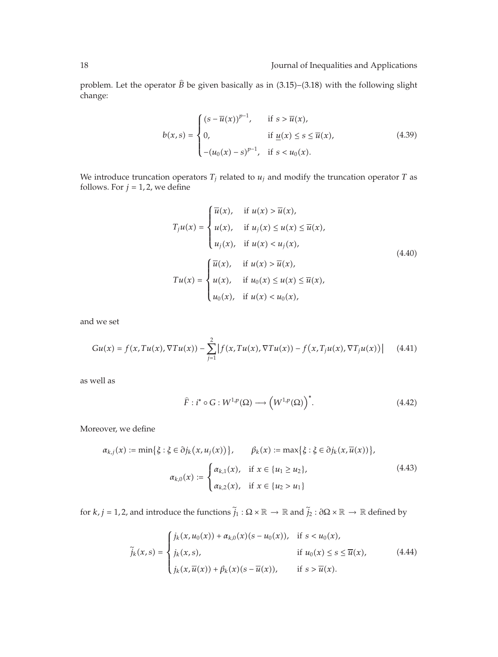problem. Let the operator  $\widehat{B}$  be given basically as in  $(3.15)$ – $(3.18)$  with the following slight change:

$$
b(x,s) = \begin{cases} (s - \overline{u}(x))^{p-1}, & \text{if } s > \overline{u}(x), \\ 0, & \text{if } \underline{u}(x) \le s \le \overline{u}(x), \\ -(u_0(x) - s)^{p-1}, & \text{if } s < u_0(x). \end{cases}
$$
(4.39)

We introduce truncation operators  $T_j$  related to  $u_j$  and modify the truncation operator  $T$  as follows. For  $j = 1, 2$ , we define

$$
T_j u(x) = \begin{cases} \overline{u}(x), & \text{if } u(x) > \overline{u}(x), \\ u(x), & \text{if } u_j(x) \le u(x) \le \overline{u}(x), \\ u_j(x), & \text{if } u(x) < u_j(x), \end{cases}
$$
\n
$$
Tu(x) = \begin{cases} \overline{u}(x), & \text{if } u(x) > \overline{u}(x), \\ u(x), & \text{if } u_0(x) \le u(x) \le \overline{u}(x), \\ u_0(x), & \text{if } u(x) < u_0(x), \end{cases}
$$
\n(4.40)

and we set

$$
Gu(x) = f(x, Tu(x), \nabla Tu(x)) - \sum_{j=1}^{2} |f(x, Tu(x), \nabla Tu(x)) - f(x, T_j u(x), \nabla T_j u(x))|
$$
 (4.41)

as well as

$$
\widehat{F}: i^* \circ G: W^{1,p}(\Omega) \longrightarrow \left(W^{1,p}(\Omega)\right)^*.
$$
\n(4.42)

Moreover, we define

$$
\alpha_{k,j}(x) := \min\{\xi : \xi \in \partial j_k(x, u_j(x))\}, \qquad \beta_k(x) := \max\{\xi : \xi \in \partial j_k(x, \overline{u}(x))\},
$$

$$
\alpha_{k,0}(x) := \begin{cases} \alpha_{k,1}(x), & \text{if } x \in \{u_1 \ge u_2\}, \\ \alpha_{k,2}(x), & \text{if } x \in \{u_2 > u_1\} \end{cases}
$$
(4.43)

for *k, j* = 1, 2, and introduce the functions  $\tilde{j}_1 : \Omega \times \mathbb{R} \to \mathbb{R}$  and  $\tilde{j}_2 : \partial \Omega \times \mathbb{R} \to \mathbb{R}$  defined by

$$
\tilde{j}_{k}(x,s) = \begin{cases} j_{k}(x,u_{0}(x)) + \alpha_{k,0}(x)(s-u_{0}(x)), & \text{if } s < u_{0}(x), \\ j_{k}(x,s), & \text{if } u_{0}(x) \le s \le \overline{u}(x), \\ j_{k}(x,\overline{u}(x)) + \beta_{k}(x)(s-\overline{u}(x)), & \text{if } s > \overline{u}(x). \end{cases}
$$
\n(4.44)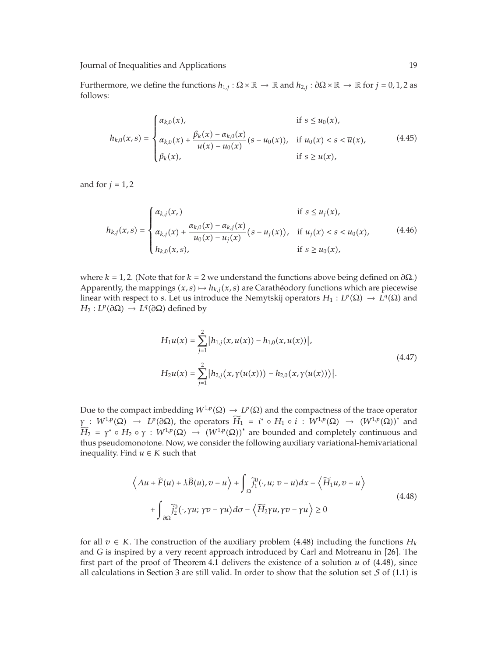Furthermore, we define the functions  $h_{1,j}$  :  $\Omega \times \mathbb{R} \to \mathbb{R}$  and  $h_{2,j}$  :  $\partial \Omega \times \mathbb{R} \to \mathbb{R}$  for  $j = 0, 1, 2$  as follows:

$$
h_{k,0}(x,s) = \begin{cases} \alpha_{k,0}(x), & \text{if } s \le u_0(x), \\ \alpha_{k,0}(x) + \frac{\beta_k(x) - \alpha_{k,0}(x)}{\overline{u}(x) - u_0(x)}(s - u_0(x)), & \text{if } u_0(x) < s < \overline{u}(x), \\ \beta_k(x), & \text{if } s \ge \overline{u}(x), \end{cases} \tag{4.45}
$$

and for  $j = 1, 2$ 

$$
h_{k,j}(x,s) = \begin{cases} \alpha_{k,j}(x, & \text{if } s \le u_j(x), \\ \alpha_{k,j}(x) + \frac{\alpha_{k,0}(x) - \alpha_{k,j}(x)}{u_0(x) - u_j(x)} (s - u_j(x)), & \text{if } u_j(x) < s < u_0(x), \\ h_{k,0}(x,s), & \text{if } s \ge u_0(x), \end{cases} \tag{4.46}
$$

where  $k = 1, 2$ . (Note that for  $k = 2$  we understand the functions above being defined on  $\partial\Omega$ .) Apparently, the mappings  $(x, s) \mapsto h_{k,j}(x, s)$  are Carathéodory functions which are piecewise linear with respect to *s*. Let us introduce the Nemytskij operators  $H_1: L^p(\Omega) \to L^q(\Omega)$  and  $H_2: L^p(\partial\Omega) \to L^q(\partial\Omega)$  defined by

$$
H_1 u(x) = \sum_{j=1}^{2} |h_{1,j}(x, u(x)) - h_{1,0}(x, u(x))|,
$$
  
\n
$$
H_2 u(x) = \sum_{j=1}^{2} |h_{2,j}(x, \gamma(u(x))) - h_{2,0}(x, \gamma(u(x)))|.
$$
\n(4.47)

Due to the compact imbedding  $W^{1,p}(\Omega) \to L^p(\Omega)$  and the compactness of the trace operator  $\gamma$  :  $W^{1,p}(\Omega) \rightarrow L^p(\partial\Omega)$ , the operators  $\widetilde{H}_1 = i^* \circ H_1 \circ i : W^{1,p}(\Omega) \rightarrow (W^{1,p}(\Omega))^*$  and  $H_2$  = *γ*<sup>\*</sup> ◦ *H*<sub>2</sub> ◦ *γ* : *W*<sup>1*,p*</sup>(Ω) → (*W*<sup>1*,p*</sup>(Ω))<sup>\*</sup> are bounded and completely continuous and thus pseudomonotone. Now, we consider the following auxiliary variational-hemivariational inequality. Find  $u \in K$  such that

$$
\left\langle Au + \hat{F}(u) + \lambda \hat{B}(u), v - u \right\rangle + \int_{\Omega} \tilde{j}_1^0(\cdot, u; v - u) dx - \left\langle \widetilde{H}_1 u, v - u \right\rangle
$$
  
+ 
$$
\int_{\partial \Omega} \tilde{j}_2^0(\cdot, \gamma u; \gamma v - \gamma u) d\sigma - \left\langle \widetilde{H}_2 \gamma u, \gamma v - \gamma u \right\rangle \ge 0
$$
 (4.48)

for all  $v \in K$ . The construction of the auxiliary problem (4.48) including the functions  $H_k$ and *G* is inspired by a very recent approach introduced by Carl and Motreanu in [26]. The first part of the proof of Theorem 4.1 delivers the existence of a solution  $u$  of  $(4.48)$ , since all calculations in Section 3 are still valid. In order to show that the solution set  $S$  of (1.1) is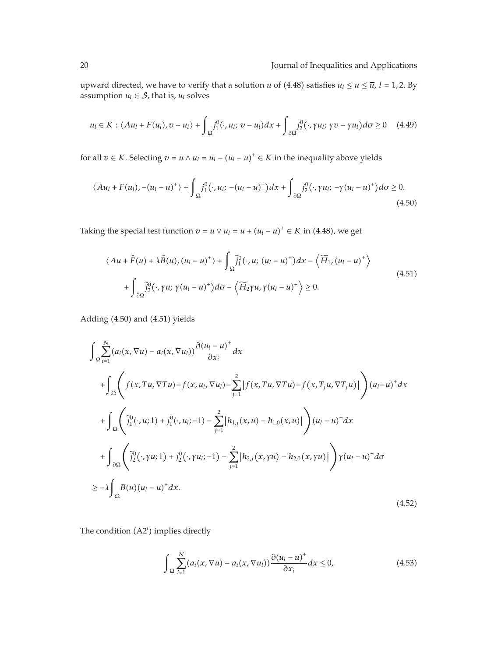upward directed, we have to verify that a solution *u* of (4.48) satisfies  $u_l \le u \le \overline{u}$ ,  $l = 1, 2$ . By assumption  $u_l \in S$ , that is,  $u_l$  solves

$$
u_l \in K : \langle Au_l + F(u_l), v - u_l \rangle + \int_{\Omega} j_1^0(\cdot, u_l; v - u_l) dx + \int_{\partial \Omega} j_2^0(\cdot, \gamma u_l; \gamma v - \gamma u_l) d\sigma \ge 0 \quad (4.49)
$$

for all *v* ∈ *K*. Selecting *v* = *u* ∧ *u*<sub>*l*</sub> = *u*<sub>*l*</sub> − (*u*<sub>*l*</sub> − *u*)<sup>+</sup> ∈ *K* in the inequality above yields

$$
\langle Au_l + F(u_l), -(u_l - u)^+ \rangle + \int_{\Omega} j_1^0(\cdot, u_l; -(u_l - u)^+) dx + \int_{\partial\Omega} j_2^0(\cdot, \gamma u_l; -\gamma (u_l - u)^+) d\sigma \ge 0.
$$
\n(4.50)

Taking the special test function  $v = u \vee u_l = u + (u_l - u)^+ \in K$  in (4.48), we get

$$
\langle Au + \widehat{F}(u) + \lambda \widehat{B}(u), (u_l - u)^+ \rangle + \int_{\Omega} \widetilde{j}_1^0(\cdot, u; (u_l - u)^+) dx - \langle \widetilde{H}_1, (u_l - u)^+ \rangle + \int_{\partial \Omega} \widetilde{j}_2^0(\cdot, \gamma u; \gamma (u_l - u)^+) d\sigma - \langle \widetilde{H}_2 \gamma u, \gamma (u_l - u)^+ \rangle \ge 0.
$$
\n(4.51)

Adding  $(4.50)$  and  $(4.51)$  yields

$$
\int_{\Omega} \sum_{i=1}^{N} (a_i(x, \nabla u) - a_i(x, \nabla u_i)) \frac{\partial (u_i - u)^+}{\partial x_i} dx
$$
\n
$$
+ \int_{\Omega} \left( f(x, Tu, \nabla Tu) - f(x, u_i, \nabla u_i) - \sum_{j=1}^{2} |f(x, Tu, \nabla Tu) - f(x, T_j u, \nabla T_j u)| \right) (u_i - u)^+ dx
$$
\n
$$
+ \int_{\Omega} \left( \tilde{j}_1^0(\cdot, u; 1) + j_1^0(\cdot, u_i; -1) - \sum_{j=1}^{2} |h_{1,j}(x, u) - h_{1,0}(x, u)| \right) (u_i - u)^+ dx
$$
\n
$$
+ \int_{\partial \Omega} \left( \tilde{j}_2^0(\cdot, \gamma u; 1) + j_2^0(\cdot, \gamma u_i; -1) - \sum_{j=1}^{2} |h_{2,j}(x, \gamma u) - h_{2,0}(x, \gamma u)| \right) \gamma (u_i - u)^+ d\sigma
$$
\n
$$
\geq -\lambda \int_{\Omega} B(u)(u_i - u)^+ dx. \tag{4.52}
$$

The condition (A2') implies directly

$$
\int_{\Omega} \sum_{i=1}^{N} (a_i(x, \nabla u) - a_i(x, \nabla u_l)) \frac{\partial (u_l - u)^+}{\partial x_i} dx \le 0,
$$
\n(4.53)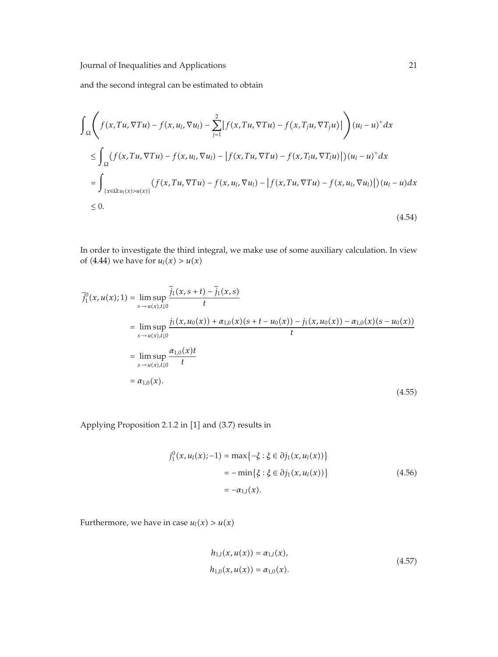and the second integral can be estimated to obtain

$$
\int_{\Omega} \left( f(x, Tu, \nabla Tu) - f(x, u_l, \nabla u_l) - \sum_{j=1}^{2} \left| f(x, Tu, \nabla Tu) - f(x, T_j u, \nabla T_j u) \right| \right) (u_l - u)^+ dx
$$
\n
$$
\leq \int_{\Omega} (f(x, Tu, \nabla Tu) - f(x, u_l, \nabla u_l) - \left| f(x, Tu, \nabla Tu) - f(x, T_l u, \nabla T_l u) \right|) (u_l - u)^+ dx
$$
\n
$$
= \int_{\{x \in \Omega : u_l(x) > u(x)\}} (f(x, Tu, \nabla Tu) - f(x, u_l, \nabla u_l) - \left| f(x, Tu, \nabla Tu) - f(x, u_l, \nabla u_l) \right|) (u_l - u) dx
$$
\n
$$
\leq 0.
$$
\n(4.54)

In order to investigate the third integral, we make use of some auxiliary calculation. In view of (4.44) we have for  $u_l(x) > u(x)$ 

$$
\tilde{j}_{1}^{0}(x, u(x); 1) = \lim_{s \to u(x), t \downarrow 0} \frac{\tilde{j}_{1}(x, s+t) - \tilde{j}_{1}(x, s)}{t}
$$
\n
$$
= \lim_{s \to u(x), t \downarrow 0} \frac{j_{1}(x, u_{0}(x)) + \alpha_{1,0}(x)(s+t-u_{0}(x)) - j_{1}(x, u_{0}(x)) - \alpha_{1,0}(x)(s-u_{0}(x))}{t}
$$
\n
$$
= \lim_{s \to u(x), t \downarrow 0} \frac{\alpha_{1,0}(x)t}{t}
$$
\n
$$
= \alpha_{1,0}(x).
$$
\n(4.55)

Applying Proposition 2.1.2 in [1] and (3.7) results in

$$
j_1^0(x, u_1(x); -1) = \max\{-\xi : \xi \in \partial j_1(x, u_1(x))\}
$$
  
=  $-\min\{\xi : \xi \in \partial j_1(x, u_1(x))\}$   
=  $-\alpha_{1,l}(x)$ . (4.56)

Furthermore, we have in case  $u_l(x) > u(x)$ 

$$
h_{1,l}(x, u(x)) = \alpha_{1,l}(x),
$$
  
\n
$$
h_{1,0}(x, u(x)) = \alpha_{1,0}(x).
$$
\n(4.57)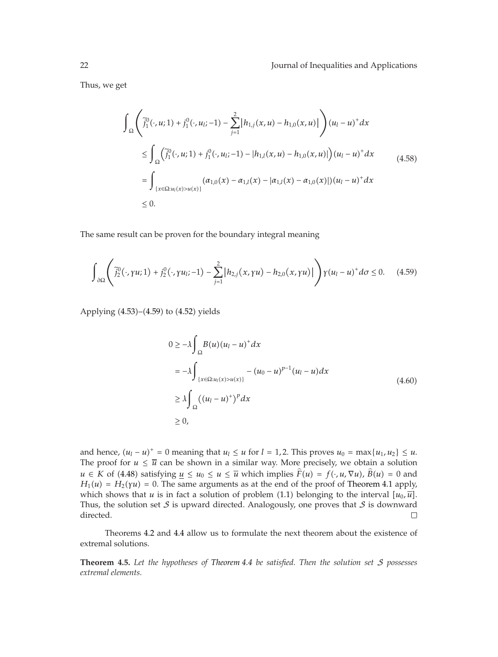Thus, we get

$$
\int_{\Omega} \left( \tilde{j}_{1}^{0}(\cdot, u; 1) + j_{1}^{0}(\cdot, u_{l}; -1) - \sum_{j=1}^{2} |h_{1,j}(x, u) - h_{1,0}(x, u)| \right) (u_{l} - u)^{+} dx
$$
\n
$$
\leq \int_{\Omega} \left( \tilde{j}_{1}^{0}(\cdot, u; 1) + j_{1}^{0}(\cdot, u_{l}; -1) - |h_{1,l}(x, u) - h_{1,0}(x, u)| \right) (u_{l} - u)^{+} dx
$$
\n
$$
= \int_{\{x \in \Omega: u_{l}(x) > u(x)\}} (\alpha_{1,0}(x) - \alpha_{1,l}(x) - |\alpha_{1,l}(x) - \alpha_{1,0}(x)|) (u_{l} - u)^{+} dx
$$
\n
$$
\leq 0.
$$
\n
$$
(4.58)
$$

The same result can be proven for the boundary integral meaning

$$
\int_{\partial\Omega} \left( \tilde{j}_{2}^{0}(\cdot,\gamma u;1) + j_{2}^{0}(\cdot,\gamma u_{l};-1) - \sum_{j=1}^{2} |h_{2,j}(x,\gamma u) - h_{2,0}(x,\gamma u)| \right) \gamma(u_{l} - u)^{+} d\sigma \leq 0. \quad (4.59)
$$

Applying  $(4.53)$ – $(4.59)$  to  $(4.52)$  yields

$$
0 \ge -\lambda \int_{\Omega} B(u)(u_l - u)^+ dx
$$
  
\n
$$
= -\lambda \int_{\{x \in \Omega: u_l(x) > u(x)\}} -(u_0 - u)^{p-1}(u_l - u) dx
$$
  
\n
$$
\ge \lambda \int_{\Omega} ((u_l - u)^+)^p dx
$$
  
\n
$$
\ge 0,
$$
\n(4.60)

and hence,  $(u_l - u)^+ = 0$  meaning that  $u_l \leq u$  for  $l = 1, 2$ . This proves  $u_0 = \max\{u_1, u_2\} \leq u$ . The proof for  $u \leq \overline{u}$  can be shown in a similar way. More precisely, we obtain a solution *u* ∈ *K* of (4.48) satisfying  $u \le u_0 \le u \le \overline{u}$  which implies  $\hat{F}(u) = f(\cdot, u, \nabla u)$ ,  $\hat{B}(u) = 0$  and  $H_1(u) = H_2(\gamma u) = 0$ . The same arguments as at the end of the proof of Theorem 4.1 apply, which shows that *u* is in fact a solution of problem (1.1) belonging to the interval  $[u_0, \overline{u}]$ . Thus, the solution set  $S$  is upward directed. Analogously, one proves that  $S$  is downward directed.  $\Box$ 

Theorems 4.2 and 4.4 allow us to formulate the next theorem about the existence of extremal solutions.

**Theorem 4.5.** *Let the hypotheses of Theorem 4.4 be satisfied. Then the solution set* S *possesses extremal elements.*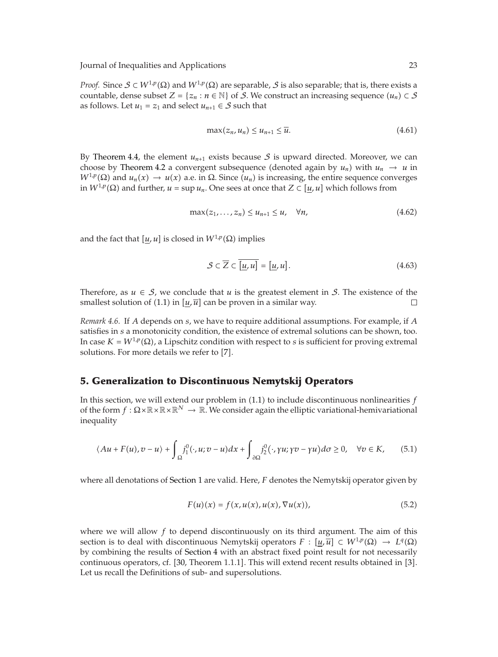*Proof.* Since  $S \subset W^{1,p}(\Omega)$  and  $W^{1,p}(\Omega)$  are separable, S is also separable; that is, there exists a countable, dense subset  $Z = \{z_n : n \in \mathbb{N}\}\$  of S. We construct an increasing sequence  $(u_n) \subset S$ as follows. Let  $u_1 = z_1$  and select  $u_{n+1} \in S$  such that

$$
\max(z_n, u_n) \le u_{n+1} \le \overline{u}.\tag{4.61}
$$

By Theorem 4.4, the element  $u_{n+1}$  exists because  $S$  is upward directed. Moreover, we can choose by Theorem 4.2 a convergent subsequence (denoted again by  $u_n$ ) with  $u_n \to u$  in  $W^{1,p}(\Omega)$  and  $u_n(x) \to u(x)$  a.e. in  $\Omega$ . Since  $(u_n)$  is increasing, the entire sequence converges in  $W^{1,p}(\Omega)$  and further,  $u = \sup u_n$ . One sees at once that  $Z \subset [u, u]$  which follows from

$$
\max(z_1,\ldots,z_n)\leq u_{n+1}\leq u,\quad \forall n,\tag{4.62}
$$

and the fact that  $[u, u]$  is closed in  $W^{1,p}(\Omega)$  implies

$$
\mathcal{S} \subset \overline{Z} \subset \overline{[u, u]} = [\underline{u}, u]. \tag{4.63}
$$

Therefore, as  $u \in S$ , we conclude that *u* is the greatest element in S. The existence of the smallest solution of  $(1.1)$  in  $[u,\overline{u}]$  can be proven in a similar way.  $\Box$ 

*Remark 4.6.* If *A* depends on *s*, we have to require additional assumptions. For example, if *A* satisfies in *s* a monotonicity condition, the existence of extremal solutions can be shown, too. In case  $K = W^{1,p}(\Omega)$ , a Lipschitz condition with respect to *s* is sufficient for proving extremal solutions. For more details we refer to [7].

#### **5. Generalization to Discontinuous Nemytskij Operators**

In this section, we will extend our problem in 1.1 to include discontinuous nonlinearities *f* of the form  $f : \Omega \times \mathbb{R} \times \mathbb{R} \times \mathbb{R}^N \to \mathbb{R}$ . We consider again the elliptic variational-hemivariational inequality

$$
\langle Au + F(u), v - u \rangle + \int_{\Omega} j_1^0(\cdot, u; v - u) dx + \int_{\partial \Omega} j_2^0(\cdot, \gamma u; \gamma v - \gamma u) d\sigma \ge 0, \quad \forall v \in K,
$$
 (5.1)

where all denotations of Section 1 are valid. Here, *F* denotes the Nemytskij operator given by

$$
F(u)(x) = f(x, u(x), u(x), \nabla u(x)),
$$
\n(5.2)

where we will allow *f* to depend discontinuously on its third argument. The aim of this section is to deal with discontinuous Nemytskij operators  $F : [u, \overline{u}] \subset W^{1,p}(\Omega) \to L^q(\Omega)$ by combining the results of Section 4 with an abstract fixed point result for not necessarily continuous operators, cf. [30, Theorem 1.1.1]. This will extend recent results obtained in [3]. Let us recall the Definitions of sub- and supersolutions.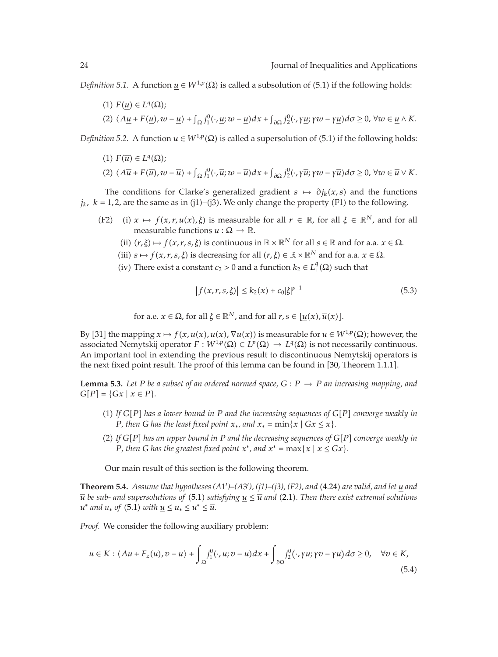*Definition 5.1.* A function  $u \in W^{1,p}(\Omega)$  is called a subsolution of (5.1) if the following holds:

 $(1)$   $F(u) \in L^q(\Omega)$ ;  $(2)$   $\langle A\underline{u} + F(\underline{u}), w - \underline{u}\rangle + \int_{\Omega} j_1^0(\cdot, \underline{u}; w - \underline{u}) dx + \int_{\partial \Omega} j_2^0(\cdot, \gamma \underline{u}; \gamma w - \gamma \underline{u}) d\sigma \geq 0, \forall w \in \underline{u} \wedge K$ .

*Definition 5.2.* A function  $\overline{u} \in W^{1,p}(\Omega)$  is called a supersolution of (5.1) if the following holds:

 $(1)$   $F(\overline{u}) \in L^q(\Omega);$ 

$$
(2) \langle A\overline{u}+F(\overline{u}),w-\overline{u}\rangle + \int_{\Omega}j_1^0(\cdot,\overline{u};w-\overline{u})dx + \int_{\partial\Omega}j_2^0(\cdot,\gamma\overline{u};\gamma w-\gamma\overline{u})d\sigma \geq 0, \forall w \in \overline{u} \vee K.
$$

The conditions for Clarke's generalized gradient  $s \mapsto \partial j_k(x, s)$  and the functions  $j_k$ ,  $k = 1, 2$ , are the same as in (j1)–(j3). We only change the property (F1) to the following.

- (F2) (i)  $x \mapsto f(x, r, u(x), \xi)$  is measurable for all  $r \in \mathbb{R}$ , for all  $\xi \in \mathbb{R}^N$ , and for all measurable functions  $u : \Omega \rightarrow \mathbb{R}$ .
	- (ii)  $(r, \xi) \mapsto f(x, r, s, \xi)$  is continuous in  $\mathbb{R} \times \mathbb{R}^N$  for all  $s \in \mathbb{R}$  and for a.a.  $x \in \Omega$ .
	- (iii)  $s \mapsto f(x, r, s, \xi)$  is decreasing for all  $(r, \xi) \in \mathbb{R} \times \mathbb{R}^N$  and for a.a.  $x \in \Omega$ .
	- (iv) There exist a constant  $c_2 > 0$  and a function  $k_2 \in L^q_+(\Omega)$  such that

$$
\left|f(x, r, s, \xi)\right| \le k_2(x) + c_0|\xi|^{p-1} \tag{5.3}
$$

for a.e.  $x \in \Omega$ , for all  $\xi \in \mathbb{R}^N$ , and for all  $r, s \in [u(x), \overline{u}(x)]$ .

By [31] the mapping  $x \mapsto f(x, u(x), u(x), \nabla u(x))$  is measurable for  $u \in W^{1,p}(\Omega)$ ; however, the associated Nemytskij operator  $F : W^{1,p}(\Omega) \subset L^p(\Omega) \to L^q(\Omega)$  is not necessarily continuous. An important tool in extending the previous result to discontinuous Nemytskij operators is the next fixed point result. The proof of this lemma can be found in [30, Theorem 1.1.1].

**Lemma 5.3.** Let P be a subset of an ordered normed space,  $G : P \rightarrow P$  an increasing mapping, and  $G[P] = \{Gx \mid x \in P\}.$ 

- 1 *If GP has a lower bound in P and the increasing sequences of GP converge weakly in P,* then *G* has the least fixed point  $x_*$ , and  $x_* = \min\{x \mid Gx \leq x\}$ .
- 2 *If GP has an upper bound in P and the decreasing sequences of GP converge weakly in P*, then *G* has the greatest fixed point  $x^*$ , and  $x^* = \max\{x \mid x \le Gx\}$ .

Our main result of this section is the following theorem.

**Theorem 5.4.** *Assume that hypotheses (A*1 *)–(A*3 *), (j1)–(j3), (F2), and* 4.24 *are valid, and let u and*  $\overline{u}$  *be sub- and supersolutions of* (5.1) *satisfying*  $u \leq \overline{u}$  *and* (2.1). Then there exist extremal solutions  $u^*$  *and*  $u_*$  *of* (5.1) *with*  $u \leq u_* \leq u^* \leq \overline{u}$ .

*Proof.* We consider the following auxiliary problem:

$$
u \in K : \langle Au + F_z(u), v - u \rangle + \int_{\Omega} j_1^0(\cdot, u; v - u) dx + \int_{\partial \Omega} j_2^0(\cdot, \gamma u; \gamma v - \gamma u) d\sigma \ge 0, \quad \forall v \in K,
$$
\n(5.4)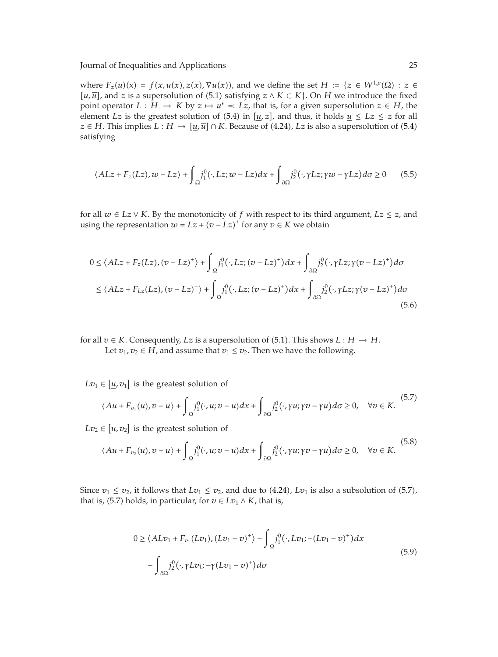where  $F_z(u)(x) = f(x, u(x), z(x), \nabla u(x))$ , and we define the set  $H := \{z \in W^{1,p}(\Omega) : z \in$ [ $u$ , $\overline{u}$ ], and *z* is a supersolution of (5.1) satisfying *z* ∧ *K* ⊂ *K*}. On *H* we introduce the fixed point operator  $L : H \to K$  by  $z \mapsto u^* =: Lz$ , that is, for a given supersolution  $z \in H$ , the element *Lz* is the greatest solution of (5.4) in  $[u, z]$ , and thus, it holds  $u \leq Lz \leq z$  for all *z* ∈ *H*. This implies *L* : *H* →  $[u,\overline{u}] \cap K$ . Because of (4.24), *Lz* is also a supersolution of (5.4) satisfying

$$
\langle ALz + F_z(Lz), w - Lz \rangle + \int_{\Omega} j_1^0(\cdot, Lz; w - Lz) dx + \int_{\partial \Omega} j_2^0(\cdot, \gamma Lz; \gamma w - \gamma Lz) d\sigma \ge 0 \tag{5.5}
$$

for all  $w \in Lz \vee K$ . By the monotonicity of  $f$  with respect to its third argument,  $Lz \leq z$ , and using the representation  $w = Lz + (v - Lz)^{+}$  for any  $v \in K$  we obtain

$$
0 \le \langle ALz + F_z(Lz), (v - Lz)^+ \rangle + \int_{\Omega} j_1^0(\cdot, Lz; (v - Lz)^+) dx + \int_{\partial \Omega} j_2^0(\cdot, \gamma Lz; \gamma(v - Lz)^+) d\sigma
$$
  

$$
\le \langle ALz + F_{Lz}(Lz), (v - Lz)^+ \rangle + \int_{\Omega} j_1^0(\cdot, Lz; (v - Lz)^+) dx + \int_{\partial \Omega} j_2^0(\cdot, \gamma Lz; \gamma(v - Lz)^+) d\sigma
$$
(5.6)

for all  $v \in K$ . Consequently, *Lz* is a supersolution of (5.1). This shows  $L : H \to H$ . Let  $v_1, v_2 \in H$ , and assume that  $v_1 \le v_2$ . Then we have the following.

 $Lv_1 \in [u, v_1]$  is the greatest solution of

$$
\langle Au + F_{v_1}(u), v - u \rangle + \int_{\Omega} j_1^0(\cdot, u; v - u) dx + \int_{\partial \Omega} j_2^0(\cdot, \gamma u; \gamma v - \gamma u) d\sigma \ge 0, \quad \forall v \in K. \tag{5.7}
$$

 $Lv_2 \in [\underline{u}, v_2]$  is the greatest solution of

$$
\langle Au + F_{v_2}(u), v - u \rangle + \int_{\Omega} j_1^0(\cdot, u; v - u) dx + \int_{\partial \Omega} j_2^0(\cdot, \gamma u; \gamma v - \gamma u) d\sigma \ge 0, \quad \forall v \in K.
$$
 (5.8)

Since  $v_1 \le v_2$ , it follows that  $Lv_1 \le v_2$ , and due to (4.24),  $Lv_1$  is also a subsolution of (5.7), that is, (5.7) holds, in particular, for  $v \in Lv_1 \wedge K$ , that is,

$$
0 \ge \langle ALv_1 + F_{v_1}(Lv_1), (Lv_1 - v)^+ \rangle - \int_{\Omega} j_1^0(\cdot, Lv_1 - (Lv_1 - v)^+) dx
$$
  

$$
- \int_{\partial \Omega} j_2^0(\cdot, \gamma Lv_1; -\gamma (Lv_1 - v)^+) d\sigma
$$
 (5.9)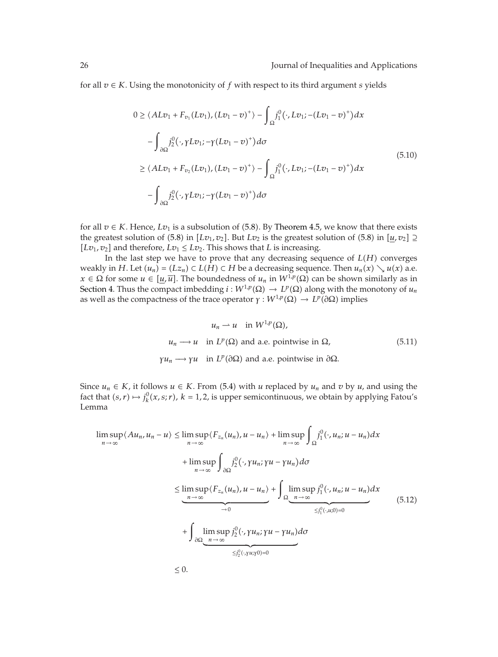for all *v* ∈ *K*. Using the monotonicity of *f* with respect to its third argument *s* yields

$$
0 \ge \langle ALv_1 + F_{v_1}(Lv_1), (Lv_1 - v)^+ \rangle - \int_{\Omega} j_1^0(\cdot, Lv_1 - (Lv_1 - v)^+) dx
$$
  

$$
- \int_{\partial \Omega} j_2^0(\cdot, \gamma Lv_1; -\gamma (Lv_1 - v)^+) d\sigma
$$
  

$$
\ge \langle ALv_1 + F_{v_2}(Lv_1), (Lv_1 - v)^+ \rangle - \int_{\Omega} j_1^0(\cdot, Lv_1; -(Lv_1 - v)^+) dx
$$
  

$$
- \int_{\partial \Omega} j_2^0(\cdot, \gamma Lv_1; -\gamma (Lv_1 - v)^+) d\sigma
$$
 (5.10)

for all  $v \in K$ . Hence,  $Lv_1$  is a subsolution of (5.8). By Theorem 4.5, we know that there exists the greatest solution of  $(5.8)$  in  $[Lv_1, v_2]$ . But  $Lv_2$  is the greatest solution of  $(5.8)$  in  $[u, v_2] \supseteq$ [ $Lv_1, v_2$ ] and therefore,  $Lv_1 \leq Lv_2$ . This shows that *L* is increasing.

In the last step we have to prove that any decreasing sequence of  $L(H)$  converges *weakly in H.* Let *(u<sub>n</sub>)* = *(Lz<sub>n</sub>)* ⊂ *L*(*H*) ⊂ *H* be a decreasing sequence. Then *u<sub>n</sub>*(*x*) ∖ *u*(*x*) a.e. *x* ∈ Ω for some *u* ∈  $[u,\overline{u}]$ . The boundedness of  $u_n$  in  $W^{1,p}(\Omega)$  can be shown similarly as in Section 4. Thus the compact imbedding  $i : W^{1,p}(\Omega) \to L^p(\Omega)$  along with the monotony of  $u_n$ as well as the compactness of the trace operator  $\gamma : W^{1,p}(\Omega) \to L^p(\partial \Omega)$  implies

$$
u_n \rightharpoonup u \quad \text{in } W^{1,p}(\Omega),
$$
\n
$$
u_n \rightharpoonup u \quad \text{in } L^p(\Omega) \text{ and a.e. pointwise in } \Omega,
$$
\n
$$
\gamma u_n \rightharpoonup \gamma u \quad \text{in } L^p(\partial \Omega) \text{ and a.e. pointwise in } \partial \Omega.
$$
\n
$$
(5.11)
$$

Since  $u_n$  ∈ *K*, it follows  $u$  ∈ *K*. From (5.4) with *u* replaced by  $u_n$  and  $v$  by  $u$ , and using the fact that  $(s, r) \mapsto j_k^0(x, s; r)$ ,  $k = 1, 2$ , is upper semicontinuous, we obtain by applying Fatou's Lemma

$$
\limsup_{n \to \infty} \langle Au_n, u_n - u \rangle \le \limsup_{n \to \infty} \langle F_{z_n}(u_n), u - u_n \rangle + \limsup_{n \to \infty} \int_{\Omega} j_1^0(\cdot, u_n; u - u_n) dx
$$
  
+ 
$$
\limsup_{n \to \infty} \int_{\partial \Omega} j_2^0(\cdot, \gamma u_n; \gamma u - \gamma u_n) d\sigma
$$
  

$$
\le \limsup_{n \to \infty} \langle F_{z_n}(u_n), u - u_n \rangle + \int_{\Omega} \limsup_{n \to \infty} j_1^0(\cdot, u_n; u - u_n) dx
$$
  
+ 
$$
\int_{\partial \Omega} \underbrace{\limsup_{n \to \infty} j_2^0(\cdot, \gamma u_n; \gamma u - \gamma u_n)}_{\le j_2^0(\cdot, \gamma u; \gamma 0) = 0} d\sigma
$$
  

$$
\le j_2^0(\cdot, \gamma u; \gamma 0) = 0
$$
 (5.12)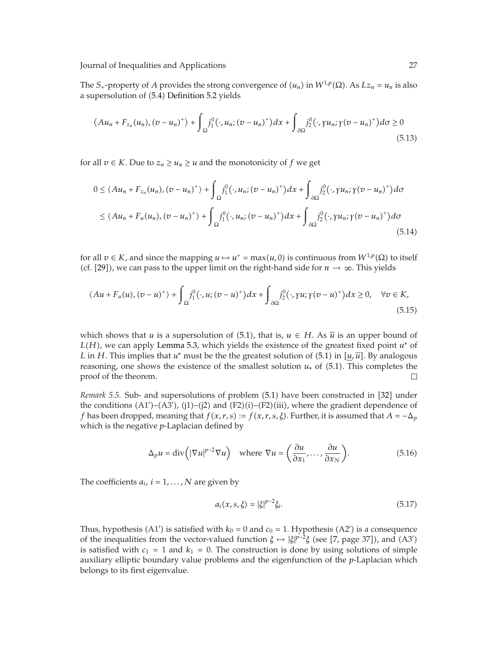The *S*<sub>+</sub>-property of *A* provides the strong convergence of  $(u_n)$  in  $W^{1,p}(\Omega)$ . As  $Lz_n = u_n$  is also a supersolution of (5.4) Definition 5.2 yields

$$
\langle Au_n + F_{z_n}(u_n), (v - u_n)^+ \rangle + \int_{\Omega} j_1^0(\cdot, u_n; (v - u_n)^+) dx + \int_{\partial \Omega} j_2^0(\cdot, \gamma u_n; \gamma(v - u_n)^+) d\sigma \ge 0
$$
\n(5.13)

for all  $v \in K$ . Due to  $z_n \geq u_n \geq u$  and the monotonicity of  $f$  we get

$$
0 \le \langle Au_n + F_{z_n}(u_n), (v - u_n)^+ \rangle + \int_{\Omega} j_1^0(\cdot, u_n; (v - u_n)^+) dx + \int_{\partial \Omega} j_2^0(\cdot, \gamma u_n; \gamma(v - u_n)^+) d\sigma
$$
  

$$
\le \langle Au_n + F_u(u_n), (v - u_n)^+ \rangle + \int_{\Omega} j_1^0(\cdot, u_n; (v - u_n)^+) dx + \int_{\partial \Omega} j_2^0(\cdot, \gamma u_n; \gamma(v - u_n)^+) d\sigma
$$
(5.14)

for all  $v \in K$ , and since the mapping  $u \mapsto u^+ = \max(u, 0)$  is continuous from  $W^{1,p}(\Omega)$  to itself (cf. [29]), we can pass to the upper limit on the right-hand side for  $n \to \infty$ . This yields

$$
\langle Au + F_u(u), (v - u)^+ \rangle + \int_{\Omega} j_1^0(\cdot, u; (v - u)^+) dx + \int_{\partial \Omega} j_2^0(\cdot, \gamma u; \gamma (v - u)^+) dx \ge 0, \quad \forall v \in K,
$$
\n(5.15)

which shows that *u* is a supersolution of (5.1), that is,  $u \in H$ . As  $\overline{u}$  is an upper bound of *LH*, we can apply Lemma 5.3, which yields the existence of the greatest fixed point *u*<sup>∗</sup> of *L* in *H*. This implies that *u*<sup>\*</sup> must be the the greatest solution of (5.1) in  $[u, \overline{u}]$ . By analogous reasoning, one shows the existence of the smallest solution *u*<sup>∗</sup> of 5.1. This completes the proof of the theorem.  $\Box$ 

*Remark 5.5.* Sub- and supersolutions of problem (5.1) have been constructed in [32] under the conditions  $(A1')-(A3')$ ,  $(j1)-(j2)$  and  $(F2)(i)-(F2)(iii)$ , where the gradient dependence of *f* has been dropped, meaning that  $f(x, r, s) := f(x, r, s, \xi)$ . Further, it is assumed that  $A = -\Delta_p$ which is the negative *p*-Laplacian defined by

$$
\Delta_p u = \text{div}\left(|\nabla u|^{p-2} \nabla u\right) \quad \text{where } \nabla u = \left(\frac{\partial u}{\partial x_1}, \dots, \frac{\partial u}{\partial x_N}\right). \tag{5.16}
$$

The coefficients  $a_i$ ,  $i = 1, \ldots, N$  are given by

$$
a_i(x, s, \xi) = |\xi|^{p-2} \xi_i.
$$
 (5.17)

Thus, hypothesis (A1') is satisfied with  $k_0 = 0$  and  $c_0 = 1$ . Hypothesis (A2') is a consequence of the inequalities from the vector-valued function  $\xi \mapsto |\xi|^{p-2}\xi$  (see [7, page 37]), and (A3') is satisfied with  $c_1 = 1$  and  $k_1 = 0$ . The construction is done by using solutions of simple auxiliary elliptic boundary value problems and the eigenfunction of the *p*-Laplacian which belongs to its first eigenvalue.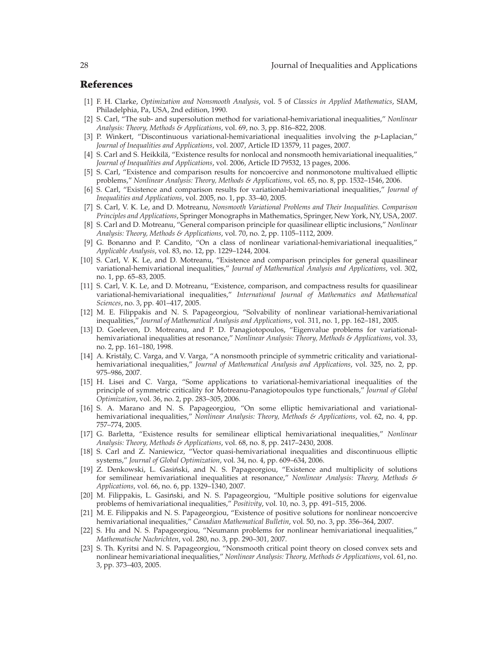#### **References**

- 1 F. H. Clarke, *Optimization and Nonsmooth Analysis*, vol. 5 of *Classics in Applied Mathematics*, SIAM, Philadelphia, Pa, USA, 2nd edition, 1990.
- 2 S. Carl, "The sub- and supersolution method for variational-hemivariational inequalities," *Nonlinear Analysis: Theory, Methods & Applications*, vol. 69, no. 3, pp. 816–822, 2008.
- 3 P. Winkert, "Discontinuous variational-hemivariational inequalities involving the *p*-Laplacian," *Journal of Inequalities and Applications*, vol. 2007, Article ID 13579, 11 pages, 2007.
- [4] S. Carl and S. Heikkilä, "Existence results for nonlocal and nonsmooth hemivariational inequalities," *Journal of Inequalities and Applications*, vol. 2006, Article ID 79532, 13 pages, 2006.
- 5 S. Carl, "Existence and comparison results for noncoercive and nonmonotone multivalued elliptic problems," *Nonlinear Analysis: Theory, Methods & Applications*, vol. 65, no. 8, pp. 1532–1546, 2006.
- 6 S. Carl, "Existence and comparison results for variational-hemivariational inequalities," *Journal of Inequalities and Applications*, vol. 2005, no. 1, pp. 33–40, 2005.
- 7 S. Carl, V. K. Le, and D. Motreanu, *Nonsmooth Variational Problems and Their Inequalities. Comparison Principles and Applications*, Springer Monographs in Mathematics, Springer, New York, NY, USA, 2007.
- 8 S. Carl and D. Motreanu, "General comparison principle for quasilinear elliptic inclusions," *Nonlinear Analysis: Theory, Methods & Applications*, vol. 70, no. 2, pp. 1105–1112, 2009.
- 9 G. Bonanno and P. Candito, "On a class of nonlinear variational-hemivariational inequalities," *Applicable Analysis*, vol. 83, no. 12, pp. 1229–1244, 2004.
- [10] S. Carl, V. K. Le, and D. Motreanu, "Existence and comparison principles for general quasilinear variational-hemivariational inequalities," *Journal of Mathematical Analysis and Applications*, vol. 302, no. 1, pp. 65–83, 2005.
- [11] S. Carl, V. K. Le, and D. Motreanu, "Existence, comparison, and compactness results for quasilinear variational-hemivariational inequalities," *International Journal of Mathematics and Mathematical Sciences*, no. 3, pp. 401–417, 2005.
- 12 M. E. Filippakis and N. S. Papageorgiou, "Solvability of nonlinear variational-hemivariational inequalities," *Journal of Mathematical Analysis and Applications*, vol. 311, no. 1, pp. 162–181, 2005.
- [13] D. Goeleven, D. Motreanu, and P. D. Panagiotopoulos, "Eigenvalue problems for variationalhemivariational inequalities at resonance," *Nonlinear Analysis: Theory, Methods & Applications*, vol. 33, no. 2, pp. 161–180, 1998.
- [14] A. Kristály, C. Varga, and V. Varga, "A nonsmooth principle of symmetric criticality and variationalhemivariational inequalities," *Journal of Mathematical Analysis and Applications*, vol. 325, no. 2, pp. 975–986, 2007.
- 15 H. Lisei and C. Varga, "Some applications to variational-hemivariational inequalities of the principle of symmetric criticality for Motreanu-Panagiotopoulos type functionals," *Journal of Global Optimization*, vol. 36, no. 2, pp. 283–305, 2006.
- [16] S. A. Marano and N. S. Papageorgiou, "On some elliptic hemivariational and variationalhemivariational inequalities," *Nonlinear Analysis: Theory, Methods & Applications*, vol. 62, no. 4, pp. 757–774, 2005.
- 17 G. Barletta, "Existence results for semilinear elliptical hemivariational inequalities," *Nonlinear Analysis: Theory, Methods & Applications*, vol. 68, no. 8, pp. 2417–2430, 2008.
- 18 S. Carl and Z. Naniewicz, "Vector quasi-hemivariational inequalities and discontinuous elliptic systems," *Journal of Global Optimization*, vol. 34, no. 4, pp. 609–634, 2006.
- [19] Z. Denkowski, L. Gasiński, and N. S. Papageorgiou, "Existence and multiplicity of solutions for semilinear hemivariational inequalities at resonance," *Nonlinear Analysis: Theory, Methods & Applications*, vol. 66, no. 6, pp. 1329–1340, 2007.
- [20] M. Filippakis, L. Gasiński, and N. S. Papageorgiou, "Multiple positive solutions for eigenvalue problems of hemivariational inequalities," *Positivity*, vol. 10, no. 3, pp. 491–515, 2006.
- 21 M. E. Filippakis and N. S. Papageorgiou, "Existence of positive solutions for nonlinear noncoercive hemivariational inequalities," *Canadian Mathematical Bulletin*, vol. 50, no. 3, pp. 356–364, 2007.
- 22 S. Hu and N. S. Papageorgiou, "Neumann problems for nonlinear hemivariational inequalities," *Mathematische Nachrichten*, vol. 280, no. 3, pp. 290–301, 2007.
- 23 S. Th. Kyritsi and N. S. Papageorgiou, "Nonsmooth critical point theory on closed convex sets and nonlinear hemivariational inequalities," *Nonlinear Analysis: Theory, Methods & Applications*, vol. 61, no. 3, pp. 373–403, 2005.